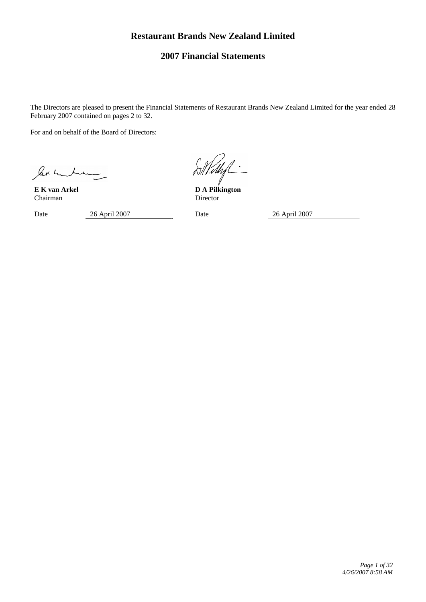# **Restaurant Brands New Zealand Limited**

# **2007 Financial Statements**

The Directors are pleased to present the Financial Statements of Restaurant Brands New Zealand Limited for the year ended 28 February 2007 contained on pages 2 to 32.

For and on behalf of the Board of Directors:

ler muchan

Chairman Director

Date 26 April 2007 Date 26 April 2007

**E K van Arkel D A Pilkington**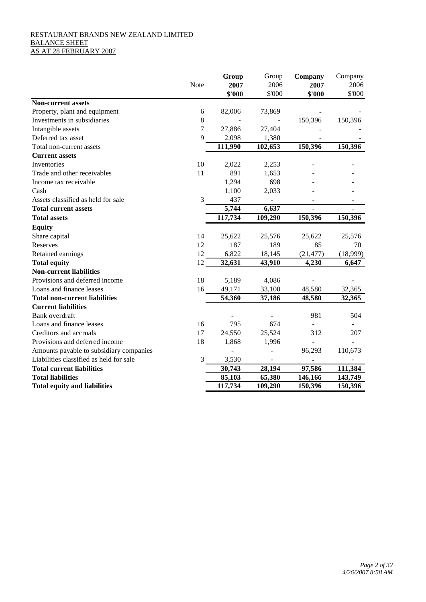## RESTAURANT BRANDS NEW ZEALAND LIMITED BALANCE SHEET AS AT 28 FEBRUARY 2007

|                                         |                | Group   | Group   | Company   | Company  |
|-----------------------------------------|----------------|---------|---------|-----------|----------|
|                                         | Note           | 2007    | 2006    | 2007      | 2006     |
|                                         |                | \$'000  | \$'000  | \$'000    | \$'000   |
| <b>Non-current assets</b>               |                |         |         |           |          |
| Property, plant and equipment           | 6              | 82,006  | 73,869  |           |          |
| Investments in subsidiaries             | 8              |         |         | 150,396   | 150,396  |
| Intangible assets                       | $\overline{7}$ | 27,886  | 27,404  |           |          |
| Deferred tax asset                      | 9              | 2,098   | 1,380   |           |          |
| Total non-current assets                |                | 111,990 | 102,653 | 150,396   | 150,396  |
| <b>Current assets</b>                   |                |         |         |           |          |
| Inventories                             | 10             | 2,022   | 2,253   |           |          |
| Trade and other receivables             | 11             | 891     | 1,653   |           |          |
| Income tax receivable                   |                | 1,294   | 698     |           |          |
| Cash                                    |                | 1,100   | 2,033   |           |          |
| Assets classified as held for sale      | 3              | 437     |         |           |          |
| <b>Total current assets</b>             |                | 5,744   | 6,637   |           |          |
| <b>Total assets</b>                     |                | 117,734 | 109,290 | 150,396   | 150,396  |
| <b>Equity</b>                           |                |         |         |           |          |
| Share capital                           | 14             | 25,622  | 25,576  | 25,622    | 25,576   |
| Reserves                                | 12             | 187     | 189     | 85        | 70       |
| Retained earnings                       | 12             | 6,822   | 18,145  | (21, 477) | (18,999) |
| <b>Total equity</b>                     | 12             | 32,631  | 43,910  | 4,230     | 6,647    |
| <b>Non-current liabilities</b>          |                |         |         |           |          |
| Provisions and deferred income          | 18             | 5,189   | 4,086   |           |          |
| Loans and finance leases                | 16             | 49,171  | 33,100  | 48,580    | 32,365   |
| <b>Total non-current liabilities</b>    |                | 54,360  | 37,186  | 48,580    | 32,365   |
| <b>Current liabilities</b>              |                |         |         |           |          |
| Bank overdraft                          |                |         |         | 981       | 504      |
| Loans and finance leases                | 16             | 795     | 674     |           |          |
| Creditors and accruals                  | 17             | 24,550  | 25,524  | 312       | 207      |
| Provisions and deferred income          | 18             | 1,868   | 1,996   |           |          |
| Amounts payable to subsidiary companies |                |         |         | 96,293    | 110,673  |
| Liabilities classified as held for sale | 3              | 3,530   |         |           |          |
| <b>Total current liabilities</b>        |                | 30,743  | 28,194  | 97,586    | 111,384  |
| <b>Total liabilities</b>                |                | 85,103  | 65,380  | 146,166   | 143,749  |
| <b>Total equity and liabilities</b>     |                | 117,734 | 109,290 | 150,396   | 150,396  |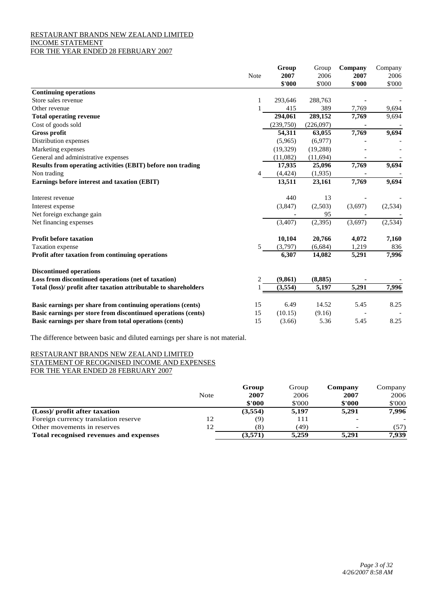## RESTAURANT BRANDS NEW ZEALAND LIMITED INCOME STATEMENT FOR THE YEAR ENDED 28 FEBRUARY 2007

|                                                                  |                | Group     | Group     | Company | Company |
|------------------------------------------------------------------|----------------|-----------|-----------|---------|---------|
|                                                                  | Note           | 2007      | 2006      | 2007    | 2006    |
|                                                                  |                | \$'000    | \$'000    | \$'000  | \$'000  |
| <b>Continuing operations</b>                                     |                |           |           |         |         |
| Store sales revenue                                              | 1              | 293,646   | 288,763   |         |         |
| Other revenue                                                    |                | 415       | 389       | 7,769   | 9,694   |
| <b>Total operating revenue</b>                                   |                | 294,061   | 289,152   | 7,769   | 9,694   |
| Cost of goods sold                                               |                | (239,750) | (226,097) |         |         |
| <b>Gross profit</b>                                              |                | 54,311    | 63,055    | 7,769   | 9,694   |
| Distribution expenses                                            |                | (5,965)   | (6,977)   |         |         |
| Marketing expenses                                               |                | (19, 329) | (19, 288) |         |         |
| General and administrative expenses                              |                | (11,082)  | (11, 694) |         |         |
| Results from operating activities (EBIT) before non trading      |                | 17,935    | 25,096    | 7,769   | 9,694   |
| Non trading                                                      |                | (4, 424)  | (1,935)   |         |         |
| Earnings before interest and taxation (EBIT)                     |                | 13,511    | 23,161    | 7,769   | 9,694   |
| Interest revenue                                                 |                | 440       | 13        |         |         |
| Interest expense                                                 |                | (3,847)   | (2,503)   | (3,697) | (2,534) |
| Net foreign exchange gain                                        |                |           | 95        |         |         |
| Net financing expenses                                           |                | (3,407)   | (2,395)   | (3,697) | (2,534) |
| <b>Profit before taxation</b>                                    |                | 10,104    | 20,766    | 4,072   | 7,160   |
| Taxation expense                                                 | 5              | (3,797)   | (6,684)   | 1,219   | 836     |
| Profit after taxation from continuing operations                 |                | 6,307     | 14,082    | 5,291   | 7,996   |
| <b>Discontinued operations</b>                                   |                |           |           |         |         |
| Loss from discontinued operations (net of taxation)              | $\overline{c}$ | (9, 861)  | (8, 885)  |         |         |
| Total (loss)/ profit after taxation attributable to shareholders |                | (3,554)   | 5,197     | 5,291   | 7,996   |
| Basic earnings per share from continuing operations (cents)      | 15             | 6.49      | 14.52     | 5.45    | 8.25    |
| Basic earnings per store from discontinued operations (cents)    | 15             | (10.15)   | (9.16)    |         |         |
| Basic earnings per share from total operations (cents)           | 15             | (3.66)    | 5.36      | 5.45    | 8.25    |

The difference between basic and diluted earnings per share is not material.

## RESTAURANT BRANDS NEW ZEALAND LIMITED STATEMENT OF RECOGNISED INCOME AND EXPENSES FOR THE YEAR ENDED 28 FEBRUARY 2007

|                                        |      | Group   | Group  | Company | Company |
|----------------------------------------|------|---------|--------|---------|---------|
|                                        | Note | 2007    | 2006   | 2007    | 2006    |
|                                        |      | \$'000  | \$'000 | \$'000  | \$'000  |
| (Loss)/ profit after taxation          |      | (3,554) | 5,197  | 5,291   | 7,996   |
| Foreign currency translation reserve   | 12   | (9)     | 111    |         |         |
| Other movements in reserves            |      | (8)     | (49)   |         | (57)    |
| Total recognised revenues and expenses |      | (3,571) | 5.259  | 5.291   | 7.939   |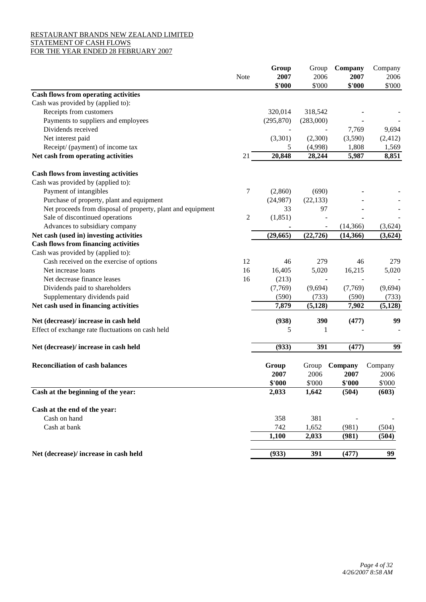# RESTAURANT BRANDS NEW ZEALAND LIMITED STATEMENT OF CASH FLOWS

# FOR THE YEAR ENDED 28 FEBRUARY 2007

|                                                             |                | Group      | Group     | Company   | Company  |
|-------------------------------------------------------------|----------------|------------|-----------|-----------|----------|
|                                                             | Note           | 2007       | 2006      | 2007      | 2006     |
|                                                             |                | \$'000     | \$'000    | \$'000    | \$'000   |
| <b>Cash flows from operating activities</b>                 |                |            |           |           |          |
| Cash was provided by (applied to):                          |                |            |           |           |          |
| Receipts from customers                                     |                | 320,014    | 318,542   |           |          |
| Payments to suppliers and employees                         |                | (295, 870) | (283,000) |           |          |
| Dividends received                                          |                |            |           | 7,769     | 9,694    |
| Net interest paid                                           |                | (3,301)    | (2,300)   | (3,590)   | (2, 412) |
| Receipt/ (payment) of income tax                            |                | 5          | (4,998)   | 1,808     | 1,569    |
| Net cash from operating activities                          | 21             | 20,848     | 28,244    | 5,987     | 8,851    |
| <b>Cash flows from investing activities</b>                 |                |            |           |           |          |
| Cash was provided by (applied to):                          |                |            |           |           |          |
| Payment of intangibles                                      | 7              | (2,860)    | (690)     |           |          |
| Purchase of property, plant and equipment                   |                | (24,987)   | (22, 133) |           |          |
| Net proceeds from disposal of property, plant and equipment |                | 33         | 97        |           |          |
| Sale of discontinued operations                             | $\overline{c}$ | (1, 851)   |           |           |          |
| Advances to subsidiary company                              |                |            |           | (14, 366) | (3,624)  |
| Net cash (used in) investing activities                     |                | (29,665)   | (22, 726) | (14, 366) | (3,624)  |
| <b>Cash flows from financing activities</b>                 |                |            |           |           |          |
| Cash was provided by (applied to):                          |                |            |           |           |          |
| Cash received on the exercise of options                    | 12             | 46         | 279       | 46        | 279      |
| Net increase loans                                          | 16             | 16,405     | 5,020     | 16,215    | 5,020    |
| Net decrease finance leases                                 | 16             | (213)      |           |           |          |
| Dividends paid to shareholders                              |                | (7,769)    | (9,694)   | (7,769)   | (9,694)  |
| Supplementary dividends paid                                |                | (590)      | (733)     | (590)     | (733)    |
| Net cash used in financing activities                       |                | 7,879      | (5, 128)  | 7,902     | (5, 128) |
| Net (decrease)/ increase in cash held                       |                | (938)      | 390       | (477)     | 99       |
| Effect of exchange rate fluctuations on cash held           |                | 5          | 1         |           |          |
|                                                             |                |            |           |           |          |
| Net (decrease)/ increase in cash held                       |                | (933)      | 391       | (477)     | 99       |
| <b>Reconciliation of cash balances</b>                      |                | Group      | Group     | Company   | Company  |
|                                                             |                | 2007       | 2006      | 2007      | 2006     |
|                                                             |                | \$'000     | \$'000    | \$'000    | \$'000   |
| Cash at the beginning of the year:                          |                | 2,033      | 1,642     | (504)     | (603)    |
| Cash at the end of the year:                                |                |            |           |           |          |
| Cash on hand                                                |                | 358        | 381       |           |          |
| Cash at bank                                                |                | 742        | 1,652     | (981)     | (504)    |
|                                                             |                | 1,100      | 2,033     | (981)     | (504)    |
|                                                             |                |            |           |           |          |
| Net (decrease)/ increase in cash held                       |                | (933)      | 391       | (477)     | 99       |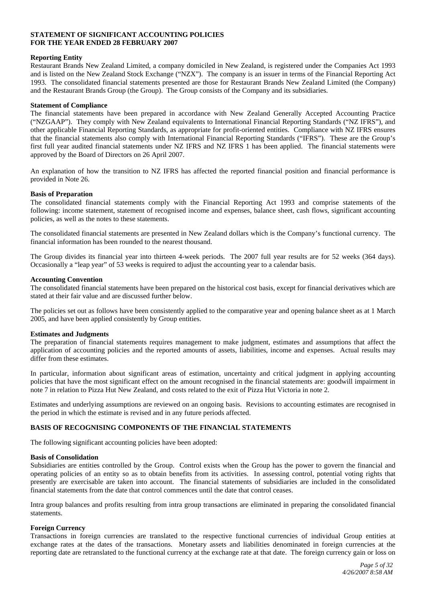## **STATEMENT OF SIGNIFICANT ACCOUNTING POLICIES FOR THE YEAR ENDED 28 FEBRUARY 2007**

## **Reporting Entity**

Restaurant Brands New Zealand Limited, a company domiciled in New Zealand, is registered under the Companies Act 1993 and is listed on the New Zealand Stock Exchange ("NZX"). The company is an issuer in terms of the Financial Reporting Act 1993. The consolidated financial statements presented are those for Restaurant Brands New Zealand Limited (the Company) and the Restaurant Brands Group (the Group). The Group consists of the Company and its subsidiaries.

## **Statement of Compliance**

The financial statements have been prepared in accordance with New Zealand Generally Accepted Accounting Practice ("NZGAAP"). They comply with New Zealand equivalents to International Financial Reporting Standards ("NZ IFRS"), and other applicable Financial Reporting Standards, as appropriate for profit-oriented entities. Compliance with NZ IFRS ensures that the financial statements also comply with International Financial Reporting Standards ("IFRS"). These are the Group's first full year audited financial statements under NZ IFRS and NZ IFRS 1 has been applied. The financial statements were approved by the Board of Directors on 26 April 2007.

An explanation of how the transition to NZ IFRS has affected the reported financial position and financial performance is provided in Note 26.

#### **Basis of Preparation**

The consolidated financial statements comply with the Financial Reporting Act 1993 and comprise statements of the following: income statement, statement of recognised income and expenses, balance sheet, cash flows, significant accounting policies, as well as the notes to these statements.

The consolidated financial statements are presented in New Zealand dollars which is the Company's functional currency. The financial information has been rounded to the nearest thousand.

The Group divides its financial year into thirteen 4-week periods. The 2007 full year results are for 52 weeks (364 days). Occasionally a "leap year" of 53 weeks is required to adjust the accounting year to a calendar basis.

#### **Accounting Convention**

The consolidated financial statements have been prepared on the historical cost basis, except for financial derivatives which are stated at their fair value and are discussed further below.

The policies set out as follows have been consistently applied to the comparative year and opening balance sheet as at 1 March 2005, and have been applied consistently by Group entities.

## **Estimates and Judgments**

The preparation of financial statements requires management to make judgment, estimates and assumptions that affect the application of accounting policies and the reported amounts of assets, liabilities, income and expenses. Actual results may differ from these estimates.

In particular, information about significant areas of estimation, uncertainty and critical judgment in applying accounting policies that have the most significant effect on the amount recognised in the financial statements are: goodwill impairment in note 7 in relation to Pizza Hut New Zealand, and costs related to the exit of Pizza Hut Victoria in note 2.

Estimates and underlying assumptions are reviewed on an ongoing basis. Revisions to accounting estimates are recognised in the period in which the estimate is revised and in any future periods affected.

## **BASIS OF RECOGNISING COMPONENTS OF THE FINANCIAL STATEMENTS**

The following significant accounting policies have been adopted:

#### **Basis of Consolidation**

Subsidiaries are entities controlled by the Group. Control exists when the Group has the power to govern the financial and operating policies of an entity so as to obtain benefits from its activities. In assessing control, potential voting rights that presently are exercisable are taken into account. The financial statements of subsidiaries are included in the consolidated financial statements from the date that control commences until the date that control ceases.

Intra group balances and profits resulting from intra group transactions are eliminated in preparing the consolidated financial statements.

## **Foreign Currency**

Transactions in foreign currencies are translated to the respective functional currencies of individual Group entities at exchange rates at the dates of the transactions. Monetary assets and liabilities denominated in foreign currencies at the reporting date are retranslated to the functional currency at the exchange rate at that date. The foreign currency gain or loss on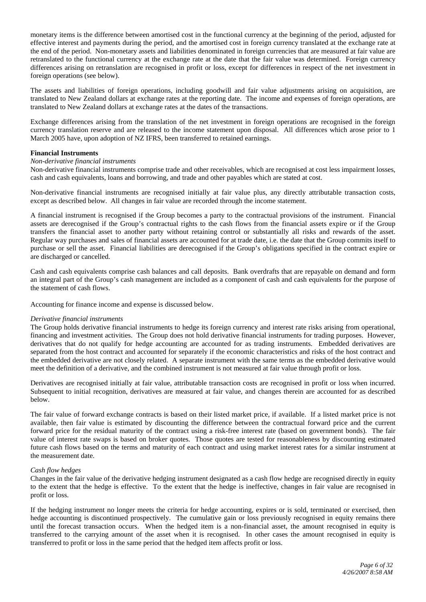monetary items is the difference between amortised cost in the functional currency at the beginning of the period, adjusted for effective interest and payments during the period, and the amortised cost in foreign currency translated at the exchange rate at the end of the period. Non-monetary assets and liabilities denominated in foreign currencies that are measured at fair value are retranslated to the functional currency at the exchange rate at the date that the fair value was determined. Foreign currency differences arising on retranslation are recognised in profit or loss, except for differences in respect of the net investment in foreign operations (see below).

The assets and liabilities of foreign operations, including goodwill and fair value adjustments arising on acquisition, are translated to New Zealand dollars at exchange rates at the reporting date. The income and expenses of foreign operations, are translated to New Zealand dollars at exchange rates at the dates of the transactions.

Exchange differences arising from the translation of the net investment in foreign operations are recognised in the foreign currency translation reserve and are released to the income statement upon disposal. All differences which arose prior to 1 March 2005 have, upon adoption of NZ IFRS, been transferred to retained earnings.

#### **Financial Instruments**

## *Non-derivative financial instruments*

Non-derivative financial instruments comprise trade and other receivables, which are recognised at cost less impairment losses, cash and cash equivalents, loans and borrowing, and trade and other payables which are stated at cost.

Non-derivative financial instruments are recognised initially at fair value plus, any directly attributable transaction costs, except as described below. All changes in fair value are recorded through the income statement.

A financial instrument is recognised if the Group becomes a party to the contractual provisions of the instrument. Financial assets are derecognised if the Group's contractual rights to the cash flows from the financial assets expire or if the Group transfers the financial asset to another party without retaining control or substantially all risks and rewards of the asset. Regular way purchases and sales of financial assets are accounted for at trade date, i.e. the date that the Group commits itself to purchase or sell the asset. Financial liabilities are derecognised if the Group's obligations specified in the contract expire or are discharged or cancelled.

Cash and cash equivalents comprise cash balances and call deposits. Bank overdrafts that are repayable on demand and form an integral part of the Group's cash management are included as a component of cash and cash equivalents for the purpose of the statement of cash flows.

Accounting for finance income and expense is discussed below.

#### *Derivative financial instruments*

The Group holds derivative financial instruments to hedge its foreign currency and interest rate risks arising from operational, financing and investment activities. The Group does not hold derivative financial instruments for trading purposes. However, derivatives that do not qualify for hedge accounting are accounted for as trading instruments. Embedded derivatives are separated from the host contract and accounted for separately if the economic characteristics and risks of the host contract and the embedded derivative are not closely related. A separate instrument with the same terms as the embedded derivative would meet the definition of a derivative, and the combined instrument is not measured at fair value through profit or loss.

Derivatives are recognised initially at fair value, attributable transaction costs are recognised in profit or loss when incurred. Subsequent to initial recognition, derivatives are measured at fair value, and changes therein are accounted for as described below.

The fair value of forward exchange contracts is based on their listed market price, if available. If a listed market price is not available, then fair value is estimated by discounting the difference between the contractual forward price and the current forward price for the residual maturity of the contract using a risk-free interest rate (based on government bonds). The fair value of interest rate swaps is based on broker quotes. Those quotes are tested for reasonableness by discounting estimated future cash flows based on the terms and maturity of each contract and using market interest rates for a similar instrument at the measurement date.

#### *Cash flow hedges*

Changes in the fair value of the derivative hedging instrument designated as a cash flow hedge are recognised directly in equity to the extent that the hedge is effective. To the extent that the hedge is ineffective, changes in fair value are recognised in profit or loss.

If the hedging instrument no longer meets the criteria for hedge accounting, expires or is sold, terminated or exercised, then hedge accounting is discontinued prospectively. The cumulative gain or loss previously recognised in equity remains there until the forecast transaction occurs. When the hedged item is a non-financial asset, the amount recognised in equity is transferred to the carrying amount of the asset when it is recognised. In other cases the amount recognised in equity is transferred to profit or loss in the same period that the hedged item affects profit or loss.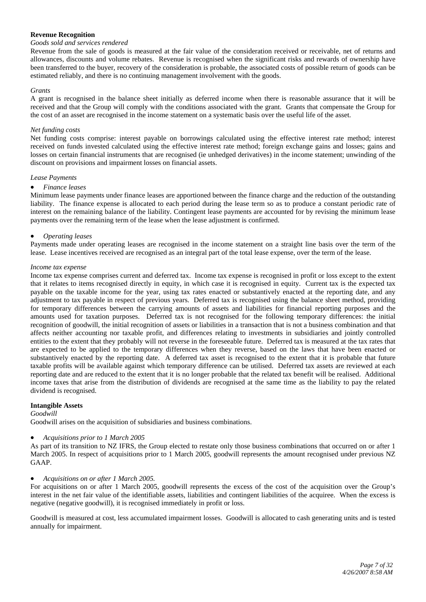## **Revenue Recognition**

## *Goods sold and services rendered*

Revenue from the sale of goods is measured at the fair value of the consideration received or receivable, net of returns and allowances, discounts and volume rebates. Revenue is recognised when the significant risks and rewards of ownership have been transferred to the buyer, recovery of the consideration is probable, the associated costs of possible return of goods can be estimated reliably, and there is no continuing management involvement with the goods.

#### *Grants*

A grant is recognised in the balance sheet initially as deferred income when there is reasonable assurance that it will be received and that the Group will comply with the conditions associated with the grant. Grants that compensate the Group for the cost of an asset are recognised in the income statement on a systematic basis over the useful life of the asset.

#### *Net funding costs*

Net funding costs comprise: interest payable on borrowings calculated using the effective interest rate method; interest received on funds invested calculated using the effective interest rate method; foreign exchange gains and losses; gains and losses on certain financial instruments that are recognised (ie unhedged derivatives) in the income statement; unwinding of the discount on provisions and impairment losses on financial assets.

#### *Lease Payments*

#### • *Finance leases*

Minimum lease payments under finance leases are apportioned between the finance charge and the reduction of the outstanding liability. The finance expense is allocated to each period during the lease term so as to produce a constant periodic rate of interest on the remaining balance of the liability. Contingent lease payments are accounted for by revising the minimum lease payments over the remaining term of the lease when the lease adjustment is confirmed.

#### • *Operating leases*

Payments made under operating leases are recognised in the income statement on a straight line basis over the term of the lease. Lease incentives received are recognised as an integral part of the total lease expense, over the term of the lease.

#### *Income tax expense*

Income tax expense comprises current and deferred tax. Income tax expense is recognised in profit or loss except to the extent that it relates to items recognised directly in equity, in which case it is recognised in equity. Current tax is the expected tax payable on the taxable income for the year, using tax rates enacted or substantively enacted at the reporting date, and any adjustment to tax payable in respect of previous years. Deferred tax is recognised using the balance sheet method, providing for temporary differences between the carrying amounts of assets and liabilities for financial reporting purposes and the amounts used for taxation purposes. Deferred tax is not recognised for the following temporary differences: the initial recognition of goodwill, the initial recognition of assets or liabilities in a transaction that is not a business combination and that affects neither accounting nor taxable profit, and differences relating to investments in subsidiaries and jointly controlled entities to the extent that they probably will not reverse in the foreseeable future. Deferred tax is measured at the tax rates that are expected to be applied to the temporary differences when they reverse, based on the laws that have been enacted or substantively enacted by the reporting date. A deferred tax asset is recognised to the extent that it is probable that future taxable profits will be available against which temporary difference can be utilised. Deferred tax assets are reviewed at each reporting date and are reduced to the extent that it is no longer probable that the related tax benefit will be realised. Additional income taxes that arise from the distribution of dividends are recognised at the same time as the liability to pay the related dividend is recognised.

## **Intangible Assets**

#### *Goodwill*

Goodwill arises on the acquisition of subsidiaries and business combinations.

## • *Acquisitions prior to 1 March 2005*

As part of its transition to NZ IFRS, the Group elected to restate only those business combinations that occurred on or after 1 March 2005. In respect of acquisitions prior to 1 March 2005, goodwill represents the amount recognised under previous NZ GAAP.

## • *Acquisitions on or after 1 March 2005.*

For acquisitions on or after 1 March 2005, goodwill represents the excess of the cost of the acquisition over the Group's interest in the net fair value of the identifiable assets, liabilities and contingent liabilities of the acquiree. When the excess is negative (negative goodwill), it is recognised immediately in profit or loss.

Goodwill is measured at cost, less accumulated impairment losses. Goodwill is allocated to cash generating units and is tested annually for impairment.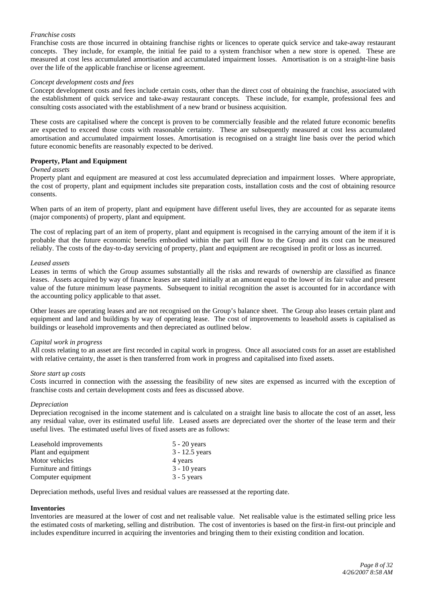## *Franchise costs*

Franchise costs are those incurred in obtaining franchise rights or licences to operate quick service and take-away restaurant concepts. They include, for example, the initial fee paid to a system franchisor when a new store is opened. These are measured at cost less accumulated amortisation and accumulated impairment losses. Amortisation is on a straight-line basis over the life of the applicable franchise or license agreement.

#### *Concept development costs and fees*

Concept development costs and fees include certain costs, other than the direct cost of obtaining the franchise, associated with the establishment of quick service and take-away restaurant concepts. These include, for example, professional fees and consulting costs associated with the establishment of a new brand or business acquisition.

These costs are capitalised where the concept is proven to be commercially feasible and the related future economic benefits are expected to exceed those costs with reasonable certainty. These are subsequently measured at cost less accumulated amortisation and accumulated impairment losses. Amortisation is recognised on a straight line basis over the period which future economic benefits are reasonably expected to be derived.

## **Property, Plant and Equipment**

#### *Owned assets*

Property plant and equipment are measured at cost less accumulated depreciation and impairment losses. Where appropriate, the cost of property, plant and equipment includes site preparation costs, installation costs and the cost of obtaining resource consents.

When parts of an item of property, plant and equipment have different useful lives, they are accounted for as separate items (major components) of property, plant and equipment.

The cost of replacing part of an item of property, plant and equipment is recognised in the carrying amount of the item if it is probable that the future economic benefits embodied within the part will flow to the Group and its cost can be measured reliably. The costs of the day-to-day servicing of property, plant and equipment are recognised in profit or loss as incurred.

#### *Leased assets*

Leases in terms of which the Group assumes substantially all the risks and rewards of ownership are classified as finance leases. Assets acquired by way of finance leases are stated initially at an amount equal to the lower of its fair value and present value of the future minimum lease payments. Subsequent to initial recognition the asset is accounted for in accordance with the accounting policy applicable to that asset.

Other leases are operating leases and are not recognised on the Group's balance sheet. The Group also leases certain plant and equipment and land and buildings by way of operating lease. The cost of improvements to leasehold assets is capitalised as buildings or leasehold improvements and then depreciated as outlined below.

#### *Capital work in progress*

All costs relating to an asset are first recorded in capital work in progress. Once all associated costs for an asset are established with relative certainty, the asset is then transferred from work in progress and capitalised into fixed assets.

#### *Store start up costs*

Costs incurred in connection with the assessing the feasibility of new sites are expensed as incurred with the exception of franchise costs and certain development costs and fees as discussed above.

#### *Depreciation*

Depreciation recognised in the income statement and is calculated on a straight line basis to allocate the cost of an asset, less any residual value, over its estimated useful life. Leased assets are depreciated over the shorter of the lease term and their useful lives. The estimated useful lives of fixed assets are as follows:

| Leasehold improvements | $5 - 20$ years   |
|------------------------|------------------|
| Plant and equipment    | $3 - 12.5$ years |
| Motor vehicles         | 4 years          |
| Furniture and fittings | $3 - 10$ years   |
| Computer equipment     | $3 - 5$ years    |

Depreciation methods, useful lives and residual values are reassessed at the reporting date.

## **Inventories**

Inventories are measured at the lower of cost and net realisable value. Net realisable value is the estimated selling price less the estimated costs of marketing, selling and distribution. The cost of inventories is based on the first-in first-out principle and includes expenditure incurred in acquiring the inventories and bringing them to their existing condition and location.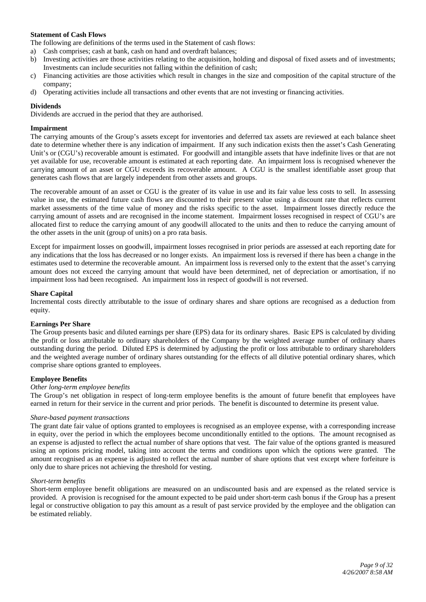## **Statement of Cash Flows**

The following are definitions of the terms used in the Statement of cash flows:

- a) Cash comprises; cash at bank, cash on hand and overdraft balances;
- b) Investing activities are those activities relating to the acquisition, holding and disposal of fixed assets and of investments; Investments can include securities not falling within the definition of cash;
- c) Financing activities are those activities which result in changes in the size and composition of the capital structure of the company;
- d) Operating activities include all transactions and other events that are not investing or financing activities.

#### **Dividends**

Dividends are accrued in the period that they are authorised.

#### **Impairment**

The carrying amounts of the Group's assets except for inventories and deferred tax assets are reviewed at each balance sheet date to determine whether there is any indication of impairment. If any such indication exists then the asset's Cash Generating Unit's or (CGU's) recoverable amount is estimated. For goodwill and intangible assets that have indefinite lives or that are not yet available for use, recoverable amount is estimated at each reporting date. An impairment loss is recognised whenever the carrying amount of an asset or CGU exceeds its recoverable amount. A CGU is the smallest identifiable asset group that generates cash flows that are largely independent from other assets and groups.

The recoverable amount of an asset or CGU is the greater of its value in use and its fair value less costs to sell. In assessing value in use, the estimated future cash flows are discounted to their present value using a discount rate that reflects current market assessments of the time value of money and the risks specific to the asset. Impairment losses directly reduce the carrying amount of assets and are recognised in the income statement. Impairment losses recognised in respect of CGU's are allocated first to reduce the carrying amount of any goodwill allocated to the units and then to reduce the carrying amount of the other assets in the unit (group of units) on a pro rata basis.

Except for impairment losses on goodwill, impairment losses recognised in prior periods are assessed at each reporting date for any indications that the loss has decreased or no longer exists. An impairment loss is reversed if there has been a change in the estimates used to determine the recoverable amount. An impairment loss is reversed only to the extent that the asset's carrying amount does not exceed the carrying amount that would have been determined, net of depreciation or amortisation, if no impairment loss had been recognised. An impairment loss in respect of goodwill is not reversed.

#### **Share Capital**

Incremental costs directly attributable to the issue of ordinary shares and share options are recognised as a deduction from equity.

#### **Earnings Per Share**

The Group presents basic and diluted earnings per share (EPS) data for its ordinary shares. Basic EPS is calculated by dividing the profit or loss attributable to ordinary shareholders of the Company by the weighted average number of ordinary shares outstanding during the period. Diluted EPS is determined by adjusting the profit or loss attributable to ordinary shareholders and the weighted average number of ordinary shares outstanding for the effects of all dilutive potential ordinary shares, which comprise share options granted to employees.

#### **Employee Benefits**

## *Other long-term employee benefits*

The Group's net obligation in respect of long-term employee benefits is the amount of future benefit that employees have earned in return for their service in the current and prior periods. The benefit is discounted to determine its present value.

## *Share-based payment transactions*

The grant date fair value of options granted to employees is recognised as an employee expense, with a corresponding increase in equity, over the period in which the employees become unconditionally entitled to the options. The amount recognised as an expense is adjusted to reflect the actual number of share options that vest. The fair value of the options granted is measured using an options pricing model, taking into account the terms and conditions upon which the options were granted. The amount recognised as an expense is adjusted to reflect the actual number of share options that vest except where forfeiture is only due to share prices not achieving the threshold for vesting.

#### *Short-term benefits*

Short-term employee benefit obligations are measured on an undiscounted basis and are expensed as the related service is provided. A provision is recognised for the amount expected to be paid under short-term cash bonus if the Group has a present legal or constructive obligation to pay this amount as a result of past service provided by the employee and the obligation can be estimated reliably.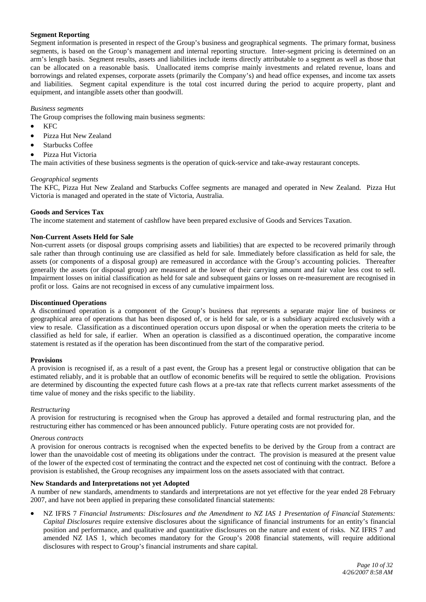## **Segment Reporting**

Segment information is presented in respect of the Group's business and geographical segments. The primary format, business segments, is based on the Group's management and internal reporting structure. Inter-segment pricing is determined on an arm's length basis. Segment results, assets and liabilities include items directly attributable to a segment as well as those that can be allocated on a reasonable basis. Unallocated items comprise mainly investments and related revenue, loans and borrowings and related expenses, corporate assets (primarily the Company's) and head office expenses, and income tax assets and liabilities. Segment capital expenditure is the total cost incurred during the period to acquire property, plant and equipment, and intangible assets other than goodwill.

## *Business segments*

The Group comprises the following main business segments:

- KFC
- Pizza Hut New Zealand
- Starbucks Coffee
- Pizza Hut Victoria

The main activities of these business segments is the operation of quick-service and take-away restaurant concepts.

## *Geographical segments*

The KFC, Pizza Hut New Zealand and Starbucks Coffee segments are managed and operated in New Zealand. Pizza Hut Victoria is managed and operated in the state of Victoria, Australia.

#### **Goods and Services Tax**

The income statement and statement of cashflow have been prepared exclusive of Goods and Services Taxation.

## **Non-Current Assets Held for Sale**

Non-current assets (or disposal groups comprising assets and liabilities) that are expected to be recovered primarily through sale rather than through continuing use are classified as held for sale. Immediately before classification as held for sale, the assets (or components of a disposal group) are remeasured in accordance with the Group's accounting policies. Thereafter generally the assets (or disposal group) are measured at the lower of their carrying amount and fair value less cost to sell. Impairment losses on initial classification as held for sale and subsequent gains or losses on re-measurement are recognised in profit or loss. Gains are not recognised in excess of any cumulative impairment loss.

#### **Discontinued Operations**

A discontinued operation is a component of the Group's business that represents a separate major line of business or geographical area of operations that has been disposed of, or is held for sale, or is a subsidiary acquired exclusively with a view to resale. Classification as a discontinued operation occurs upon disposal or when the operation meets the criteria to be classified as held for sale, if earlier. When an operation is classified as a discontinued operation, the comparative income statement is restated as if the operation has been discontinued from the start of the comparative period.

## **Provisions**

A provision is recognised if, as a result of a past event, the Group has a present legal or constructive obligation that can be estimated reliably, and it is probable that an outflow of economic benefits will be required to settle the obligation. Provisions are determined by discounting the expected future cash flows at a pre-tax rate that reflects current market assessments of the time value of money and the risks specific to the liability.

#### *Restructuring*

A provision for restructuring is recognised when the Group has approved a detailed and formal restructuring plan, and the restructuring either has commenced or has been announced publicly. Future operating costs are not provided for.

#### *Onerous contracts*

A provision for onerous contracts is recognised when the expected benefits to be derived by the Group from a contract are lower than the unavoidable cost of meeting its obligations under the contract. The provision is measured at the present value of the lower of the expected cost of terminating the contract and the expected net cost of continuing with the contract. Before a provision is established, the Group recognises any impairment loss on the assets associated with that contract.

#### **New Standards and Interpretations not yet Adopted**

A number of new standards, amendments to standards and interpretations are not yet effective for the year ended 28 February 2007, and have not been applied in preparing these consolidated financial statements:

• NZ IFRS 7 *Financial Instruments: Disclosures and the Amendment to NZ IAS 1 Presentation of Financial Statements: Capital Disclosures* require extensive disclosures about the significance of financial instruments for an entity's financial position and performance, and qualitative and quantitative disclosures on the nature and extent of risks. NZ IFRS 7 and amended NZ IAS 1, which becomes mandatory for the Group's 2008 financial statements, will require additional disclosures with respect to Group's financial instruments and share capital.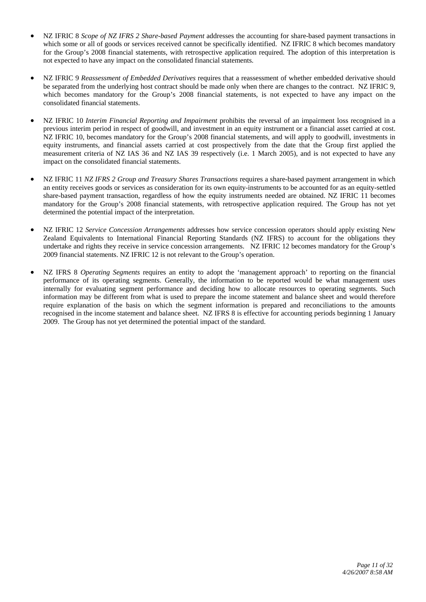- NZ IFRIC 8 *Scope of NZ IFRS 2 Share-based Payment* addresses the accounting for share-based payment transactions in which some or all of goods or services received cannot be specifically identified. NZ IFRIC 8 which becomes mandatory for the Group's 2008 financial statements, with retrospective application required. The adoption of this interpretation is not expected to have any impact on the consolidated financial statements.
- NZ IFRIC 9 *Reassessment of Embedded Derivatives* requires that a reassessment of whether embedded derivative should be separated from the underlying host contract should be made only when there are changes to the contract. NZ IFRIC 9, which becomes mandatory for the Group's 2008 financial statements, is not expected to have any impact on the consolidated financial statements.
- NZ IFRIC 10 *Interim Financial Reporting and Impairment* prohibits the reversal of an impairment loss recognised in a previous interim period in respect of goodwill, and investment in an equity instrument or a financial asset carried at cost. NZ IFRIC 10, becomes mandatory for the Group's 2008 financial statements, and will apply to goodwill, investments in equity instruments, and financial assets carried at cost prospectively from the date that the Group first applied the measurement criteria of NZ IAS 36 and NZ IAS 39 respectively (i.e. 1 March 2005), and is not expected to have any impact on the consolidated financial statements.
- NZ IFRIC 11 *NZ IFRS 2 Group and Treasury Shares Transactions* requires a share-based payment arrangement in which an entity receives goods or services as consideration for its own equity-instruments to be accounted for as an equity-settled share-based payment transaction, regardless of how the equity instruments needed are obtained. NZ IFRIC 11 becomes mandatory for the Group's 2008 financial statements, with retrospective application required. The Group has not yet determined the potential impact of the interpretation.
- NZ IFRIC 12 *Service Concession Arrangements* addresses how service concession operators should apply existing New Zealand Equivalents to International Financial Reporting Standards (NZ IFRS) to account for the obligations they undertake and rights they receive in service concession arrangements. NZ IFRIC 12 becomes mandatory for the Group's 2009 financial statements. NZ IFRIC 12 is not relevant to the Group's operation.
- NZ IFRS 8 *Operating Segments* requires an entity to adopt the 'management approach' to reporting on the financial performance of its operating segments. Generally, the information to be reported would be what management uses internally for evaluating segment performance and deciding how to allocate resources to operating segments. Such information may be different from what is used to prepare the income statement and balance sheet and would therefore require explanation of the basis on which the segment information is prepared and reconciliations to the amounts recognised in the income statement and balance sheet. NZ IFRS 8 is effective for accounting periods beginning 1 January 2009. The Group has not yet determined the potential impact of the standard.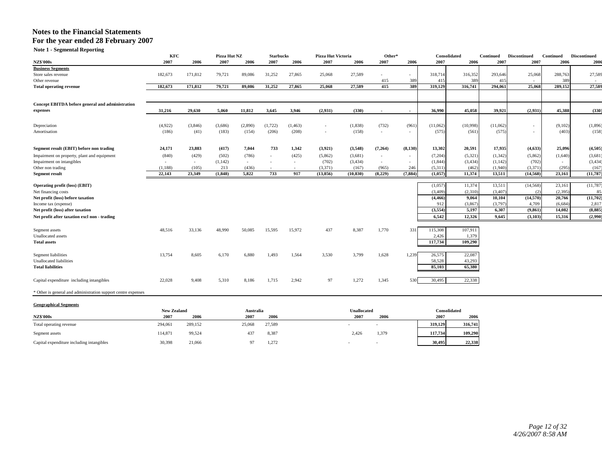**Note 1 - Segmental Reporting** 

|                                                               | KFC                        |         | Pizza Hut NZ |                   | <b>Starbucks</b> |          | <b>Pizza Hut Victoria</b> |                     | Other*                   |                          | Consolidated         |          | <b>Continued</b> | <b>Discontinued</b> | Continued | <b>Discontinued</b> |
|---------------------------------------------------------------|----------------------------|---------|--------------|-------------------|------------------|----------|---------------------------|---------------------|--------------------------|--------------------------|----------------------|----------|------------------|---------------------|-----------|---------------------|
| <b>NZ\$'000s</b>                                              | 2007                       | 2006    | 2007         | 2006              | 2007             | 2006     | 2007                      | 2006                | 2007                     | 2006                     | 2007                 | 2006     | 2007             | 2007                | 2006      | 2006                |
| <b>Business Segments</b>                                      |                            |         |              |                   |                  |          |                           |                     |                          |                          |                      |          |                  |                     |           |                     |
| Store sales revenue                                           | 182,673                    | 171,812 | 79,721       | 89,086            | 31,252           | 27,865   | 25,068                    | 27,589              |                          |                          | 318,714              | 316,352  | 293,646          | 25,068              | 288,763   | 27,589              |
| Other revenue                                                 |                            |         |              |                   |                  |          |                           |                     | 415                      | 389                      | 41:                  | 389      | 415              |                     | 389       |                     |
| <b>Total operating revenue</b>                                | 182,673                    | 171.812 | 79,721       | 89,086            | 31.252           | 27,865   | 25.068                    | 27,589              | 415                      | 389                      | 319,129              | 316.741  | 294.061          | 25,068              | 289.152   | 27,589              |
| Concept EBITDA before general and administration              |                            |         |              |                   |                  |          |                           |                     |                          |                          |                      |          |                  |                     |           |                     |
| expenses                                                      | 31,216                     | 29.630  | 5.060        | 11,812            | 3.645            | 3,946    | (2,931)                   | (330)               |                          | $\sim$                   | 36.990               | 45.058   | 39.921           | (2,931)             | 45.388    | (330)               |
| Depreciation                                                  | (4,922)                    | (3,846) | (3,686)      | (2,890)           | (1,722)          | (1, 463) | $\overline{\phantom{a}}$  | (1, 838)            | (732)                    | (961)                    | (11,062)             | (10,998) | (11,062)         |                     | (9,102)   | (1,896)             |
| Amortisation                                                  | (186)                      | (41)    | (183)        | (154)             | (206)            | (208)    | ٠                         | (158)               | $\overline{\phantom{a}}$ | $\overline{\phantom{a}}$ | (575)                | (561)    | (575)            |                     | (403)     | (158)               |
| Segment result (EBIT) before non trading                      | 24,171                     | 23,883  | (417)        | 7,044             | 733              | 1,342    | (3,921)                   | (3,548)             | (7,264)                  | (8,130)                  | 13,302               | 20,591   | 17,935           | (4, 633)            | 25,096    | (4,505)             |
| Impairment on property, plant and equipment                   | (840)                      | (429)   | (502)        | (786)             |                  | (425)    | (5,862)                   | (3,681)             | $\overline{\phantom{a}}$ |                          | (7,204)              | (5,321)  | (1, 342)         | (5,862)             | (1,640)   | (3,681)             |
| Impairment on intangibles                                     | $\sim$                     | $\sim$  | (1,142)      | $\sim$            |                  | $\sim$   | (702)                     | (3, 434)            | $\sim$                   | $\sim$                   | (1, 844)             | (3, 434) | (1,142)          | (702)               |           | (3, 434)            |
| Other non trading                                             | (1,188)                    | (105)   | 213          | (436)             | $\sim$           | $\sim$   | (3,371)                   | (167)               | (965)                    | 246                      | (5,311)              | (462)    | (1,940)          | (3, 371)            | (295)     | (167)               |
| <b>Segment result</b>                                         | 22,143                     | 23,349  | (1, 848)     | 5,822             | 733              | 917      | (13, 856)                 | (10, 830)           | (8,229)                  | (7, 884)                 | (1,057)              | 11,374   | 13,511           | (14, 568)           | 23,161    | (11,787)            |
|                                                               |                            |         |              |                   |                  |          |                           |                     |                          |                          | (1,057)              | 11,374   | 13,511           | (14, 568)           | 23,161    | (11,787)            |
| Operating profit (loss) (EBIT)                                |                            |         |              |                   |                  |          |                           |                     |                          |                          | (3,409)              | (2,310)  | (3,407)          | (2)                 | (2,395)   | 85                  |
| Net financing costs<br>Net profit (loss) before taxation      |                            |         |              |                   |                  |          |                           |                     |                          |                          | (4, 466)             | 9,064    | 10,104           | (14, 570)           | 20,766    | (11,702)            |
| Income tax (expense)                                          |                            |         |              |                   |                  |          |                           |                     |                          |                          | 912                  | (3,867)  | (3,797)          | 4,709               | (6,684)   | 2,817               |
| Net profit (loss) after taxation                              |                            |         |              |                   |                  |          |                           |                     |                          |                          | (3,554)              | 5,197    | 6,307            | (9, 861)            | 14,082    | (8,885)             |
|                                                               |                            |         |              |                   |                  |          |                           |                     |                          |                          | 6.542                | 12,326   | 9.645            |                     |           |                     |
| Net profit after taxation excl non - trading                  |                            |         |              |                   |                  |          |                           |                     |                          |                          |                      |          |                  | (3,103)             | 15,316    | (2,990)             |
| Segment assets                                                | 48,516                     | 33,136  | 48,990       | 50,085            | 15,595           | 15,972   | 437                       | 8,387               | 1,770                    | 331                      | 115,308              | 107,911  |                  |                     |           |                     |
| <b>Unallocated</b> assets                                     |                            |         |              |                   |                  |          |                           |                     |                          |                          | 2,426                | 1,379    |                  |                     |           |                     |
| <b>Total assets</b>                                           |                            |         |              |                   |                  |          |                           |                     |                          |                          | 117,734              | 109,290  |                  |                     |           |                     |
| <b>Segment liabilities</b>                                    | 13,754                     | 8,605   | 6,170        | 6,880             | 1,493            | 1,564    | 3,530                     | 3,799               | 1,628                    | 1,239                    | 26,575               | 22,087   |                  |                     |           |                     |
| <b>Unallocated liabilities</b>                                |                            |         |              |                   |                  |          |                           |                     |                          |                          | 58,528               | 43,293   |                  |                     |           |                     |
| <b>Total liabilities</b>                                      |                            |         |              |                   |                  |          |                           |                     |                          |                          | 85,103               | 65,380   |                  |                     |           |                     |
| Capital expenditure including intangibles                     | 22,028                     | 9,408   | 5,310        | 8,186             | 1,715            | 2,942    | 97                        | 1,272               | 1,345                    | 530                      | 30,495               | 22,338   |                  |                     |           |                     |
| * Other is general and administration support centre expenses |                            |         |              |                   |                  |          |                           |                     |                          |                          |                      |          |                  |                     |           |                     |
| <b>Geographical Segments</b>                                  |                            |         |              |                   |                  |          |                           |                     |                          |                          |                      |          |                  |                     |           |                     |
| <b>NZ\$'000s</b>                                              | <b>New Zealand</b><br>2007 | 2006    |              | Australia<br>2007 | 2006             |          |                           | Unallocated<br>2007 | 2006                     |                          | Consolidated<br>2007 | 2006     |                  |                     |           |                     |
|                                                               |                            |         |              |                   |                  |          |                           |                     |                          |                          |                      |          |                  |                     |           |                     |

Total operating revenue 294,061 289,152 25,068 27,589 - - **319,129 316,741** Segment assets 114,871 99,524 437 8,387 2,426 1,379 **117,734 109,290** Capital expenditure including intangibles 30,398 21,066 97 1,272 - - **30,495 22,338**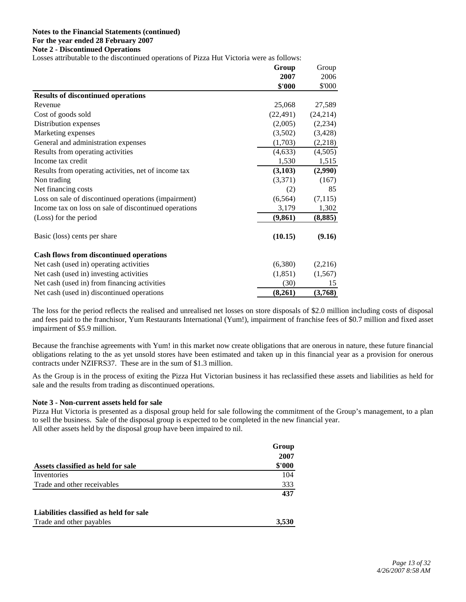#### **Notes to the Financial Statements (continued) For the year ended 28 February 2007 Note 2 - Discontinued Operations**

Losses attributable to the discontinued operations of Pizza Hut Victoria were as follows:

|                                                       | Group     | Group     |
|-------------------------------------------------------|-----------|-----------|
|                                                       | 2007      | 2006      |
|                                                       | \$'000    | \$'000    |
| <b>Results of discontinued operations</b>             |           |           |
| Revenue                                               | 25,068    | 27,589    |
| Cost of goods sold                                    | (22, 491) | (24, 214) |
| Distribution expenses                                 | (2,005)   | (2,234)   |
| Marketing expenses                                    | (3,502)   | (3, 428)  |
| General and administration expenses                   | (1,703)   | (2,218)   |
| Results from operating activities                     | (4,633)   | (4,505)   |
| Income tax credit                                     | 1,530     | 1,515     |
| Results from operating activities, net of income tax  | (3,103)   | (2,990)   |
| Non trading                                           | (3,371)   | (167)     |
| Net financing costs                                   | (2)       | 85        |
| Loss on sale of discontinued operations (impairment)  | (6, 564)  | (7, 115)  |
| Income tax on loss on sale of discontinued operations | 3,179     | 1,302     |
| (Loss) for the period                                 | (9, 861)  | (8, 885)  |
| Basic (loss) cents per share                          | (10.15)   | (9.16)    |
| <b>Cash flows from discontinued operations</b>        |           |           |
| Net cash (used in) operating activities               | (6,380)   | (2,216)   |
| Net cash (used in) investing activities               | (1, 851)  | (1, 567)  |
| Net cash (used in) from financing activities          | (30)      | 15        |
| Net cash (used in) discontinued operations            | (8,261)   | (3,768)   |

The loss for the period reflects the realised and unrealised net losses on store disposals of \$2.0 million including costs of disposal and fees paid to the franchisor, Yum Restaurants International (Yum!), impairment of franchise fees of \$0.7 million and fixed asset impairment of \$5.9 million.

Because the franchise agreements with Yum! in this market now create obligations that are onerous in nature, these future financial obligations relating to the as yet unsold stores have been estimated and taken up in this financial year as a provision for onerous contracts under NZIFRS37. These are in the sum of \$1.3 million.

As the Group is in the process of exiting the Pizza Hut Victorian business it has reclassified these assets and liabilities as held for sale and the results from trading as discontinued operations.

## **Note 3 - Non-current assets held for sale**

Pizza Hut Victoria is presented as a disposal group held for sale following the commitment of the Group's management, to a plan to sell the business. Sale of the disposal group is expected to be completed in the new financial year. All other assets held by the disposal group have been impaired to nil.

|                                         | Group  |
|-----------------------------------------|--------|
|                                         | 2007   |
| Assets classified as held for sale      | \$'000 |
| Inventories                             | 104    |
| Trade and other receivables             | 333    |
|                                         | 437    |
| Liabilities classified as held for sale |        |
| Trade and other payables                | 3.530  |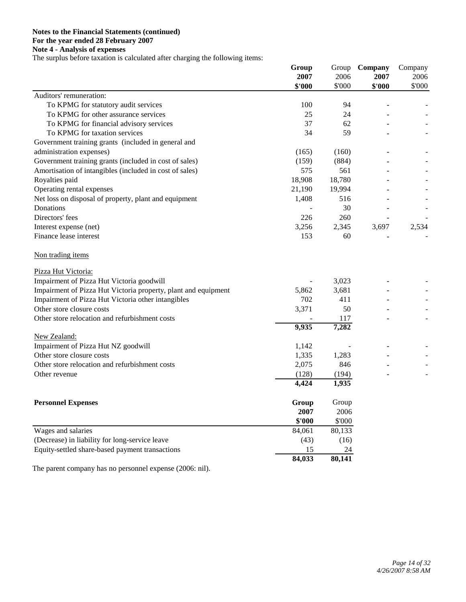## **Notes to the Financial Statements (continued) For the year ended 28 February 2007 Note 4 - Analysis of expenses**

The surplus before taxation is calculated after charging the following items:

|                                                                  | Group          |                | Group Company  | Company        |
|------------------------------------------------------------------|----------------|----------------|----------------|----------------|
|                                                                  | 2007<br>\$'000 | 2006<br>\$'000 | 2007<br>\$'000 | 2006<br>\$'000 |
| Auditors' remuneration:                                          |                |                |                |                |
| To KPMG for statutory audit services                             | 100            | 94             |                |                |
| To KPMG for other assurance services                             | 25             | 24             |                |                |
| To KPMG for financial advisory services                          | 37             | 62             |                |                |
| To KPMG for taxation services                                    | 34             | 59             |                |                |
| Government training grants (included in general and              |                |                |                |                |
| administration expenses)                                         | (165)          | (160)          |                |                |
| Government training grants (included in cost of sales)           | (159)          | (884)          |                |                |
| Amortisation of intangibles (included in cost of sales)          | 575            | 561            |                |                |
| Royalties paid                                                   | 18,908         | 18,780         |                |                |
| Operating rental expenses                                        | 21,190         | 19,994         |                |                |
| Net loss on disposal of property, plant and equipment            | 1,408          | 516            |                |                |
| Donations                                                        |                | 30             |                |                |
| Directors' fees                                                  | 226            | 260            |                |                |
| Interest expense (net)                                           | 3,256          | 2,345          | 3,697          | 2,534          |
| Finance lease interest                                           | 153            | 60             |                |                |
|                                                                  |                |                |                |                |
| Non trading items                                                |                |                |                |                |
| Pizza Hut Victoria:                                              |                |                |                |                |
| Impairment of Pizza Hut Victoria goodwill                        |                | 3,023          |                |                |
| Impairment of Pizza Hut Victoria property, plant and equipment   | 5,862          | 3,681          |                |                |
| Impairment of Pizza Hut Victoria other intangibles               | 702            | 411            |                |                |
| Other store closure costs                                        | 3,371          | 50             |                |                |
| Other store relocation and refurbishment costs                   |                | 117            |                |                |
|                                                                  | 9,935          | 7,282          |                |                |
| New Zealand:                                                     |                |                |                |                |
| Impairment of Pizza Hut NZ goodwill                              | 1,142          |                |                |                |
| Other store closure costs                                        | 1,335          | 1,283          |                |                |
| Other store relocation and refurbishment costs                   | 2,075          | 846            |                |                |
| Other revenue                                                    | (128)          | (194)          |                |                |
|                                                                  | 4,424          | 1,935          |                |                |
|                                                                  |                |                |                |                |
| <b>Personnel Expenses</b>                                        | Group          | Group          |                |                |
|                                                                  | 2007           | 2006           |                |                |
|                                                                  | \$'000         | \$'000         |                |                |
| Wages and salaries                                               | 84,061         | 80,133         |                |                |
| (Decrease) in liability for long-service leave                   | (43)           | (16)           |                |                |
| Equity-settled share-based payment transactions                  | 15             | 24             |                |                |
|                                                                  | 84,033         | 80,141         |                |                |
| The perent company has no personnel expanse $(2006; \text{nil})$ |                |                |                |                |

The parent company has no personnel expense (2006: nil).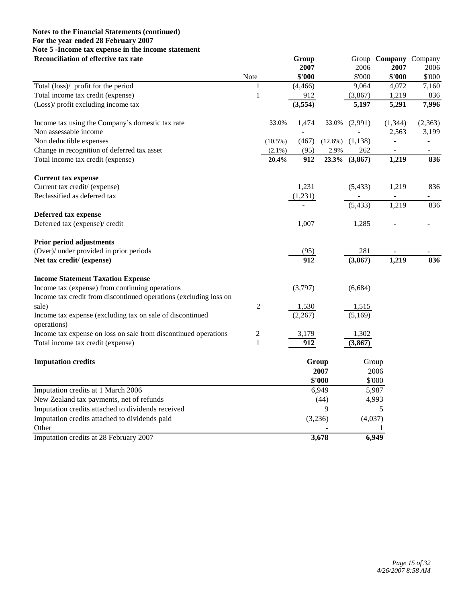## **Notes to the Financial Statements (continued) For the year ended 28 February 2007 Note 5 -Income tax expense in the income statement Reconciliation of effective tax rate Group** Group **Group** Group **Company** Company

|                                                                   |              |            |          |            | $\mathsf{u}_\mathsf{u}$ | ,,,,,,                   | -panj                    |
|-------------------------------------------------------------------|--------------|------------|----------|------------|-------------------------|--------------------------|--------------------------|
|                                                                   |              |            | 2007     |            | 2006                    | 2007                     | 2006                     |
|                                                                   | Note         |            | \$'000   |            | \$'000                  | \$'000                   | \$'000                   |
| Total (loss)/ profit for the period                               | $\mathbf{1}$ |            | (4, 466) |            | 9,064                   | 4,072                    | 7,160                    |
| Total income tax credit (expense)                                 | $\mathbf{1}$ |            | 912      |            | (3,867)                 | 1,219                    | 836                      |
| (Loss)/ profit excluding income tax                               |              |            | (3, 554) |            | 5,197                   | 5,291                    | 7,996                    |
| Income tax using the Company's domestic tax rate                  |              | 33.0%      | 1,474    | 33.0%      | (2,991)                 | (1, 344)                 | (2,363)                  |
| Non assessable income                                             |              |            |          |            |                         | 2,563                    | 3,199                    |
| Non deductible expenses                                           |              | $(10.5\%)$ | (467)    | $(12.6\%)$ | (1,138)                 |                          |                          |
| Change in recognition of deferred tax asset                       |              | $(2.1\%)$  | (95)     | 2.9%       | 262                     | $\overline{\phantom{a}}$ | $\overline{\phantom{a}}$ |
| Total income tax credit (expense)                                 |              | 20.4%      | 912      | 23.3%      | (3, 867)                | 1,219                    | 836                      |
| <b>Current tax expense</b>                                        |              |            |          |            |                         |                          |                          |
| Current tax credit/ (expense)                                     |              |            | 1,231    |            | (5, 433)                | 1,219                    | 836                      |
| Reclassified as deferred tax                                      |              |            | (1,231)  |            |                         | $\blacksquare$           | ۰                        |
|                                                                   |              |            |          |            | (5, 433)                | 1,219                    | 836                      |
| Deferred tax expense                                              |              |            |          |            |                         |                          |                          |
| Deferred tax (expense)/ credit                                    |              |            | 1,007    |            | 1,285                   |                          |                          |
| Prior period adjustments                                          |              |            |          |            |                         |                          |                          |
| (Over)/ under provided in prior periods                           |              |            | (95)     |            | 281                     |                          |                          |
| Net tax credit/ (expense)                                         |              |            | 912      |            | (3, 867)                | 1,219                    | 836                      |
| <b>Income Statement Taxation Expense</b>                          |              |            |          |            |                         |                          |                          |
| Income tax (expense) from continuing operations                   |              |            | (3,797)  |            | (6,684)                 |                          |                          |
| Income tax credit from discontinued operations (excluding loss on |              |            |          |            |                         |                          |                          |
| sale)                                                             | $\sqrt{2}$   |            | 1,530    |            | 1,515                   |                          |                          |
| Income tax expense (excluding tax on sale of discontinued         |              |            | (2,267)  |            | (5,169)                 |                          |                          |
| operations)                                                       |              |            |          |            |                         |                          |                          |
| Income tax expense on loss on sale from discontinued operations   | 2            |            | 3,179    |            | 1,302                   |                          |                          |
| Total income tax credit (expense)                                 | $\mathbf{1}$ |            | 912      |            | (3, 867)                |                          |                          |
| <b>Imputation credits</b>                                         |              |            |          | Group      | Group                   |                          |                          |
|                                                                   |              |            |          | 2007       | 2006                    |                          |                          |
|                                                                   |              |            |          | \$'000     | \$'000                  |                          |                          |
| Imputation credits at 1 March 2006                                |              |            |          | 6,949      | 5,987                   |                          |                          |
| New Zealand tax payments, net of refunds                          |              |            |          | (44)       | 4,993                   |                          |                          |
| Imputation credits attached to dividends received                 |              |            |          | 9          |                         | 5                        |                          |
| Imputation credits attached to dividends paid                     |              |            |          | (3,236)    | (4,037)                 |                          |                          |
| Other                                                             |              |            |          |            |                         |                          |                          |
| Imputation credits at 28 February 2007                            |              |            |          | 3,678      | 6,949                   |                          |                          |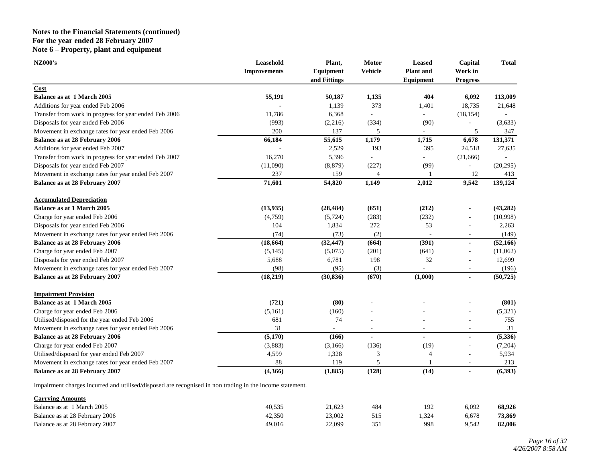## **Notes to the Financial Statements (continued) For the year ended 28 February 2007 Note 6 – Property, plant and equipment**

| <b>NZ000's</b>                                         | Leasehold           | Plant,                    | Motor          | <b>Leased</b>                 | Capital                    | <b>Total</b> |
|--------------------------------------------------------|---------------------|---------------------------|----------------|-------------------------------|----------------------------|--------------|
|                                                        | <b>Improvements</b> | Equipment<br>and Fittings | <b>Vehicle</b> | <b>Plant</b> and<br>Equipment | Work in<br><b>Progress</b> |              |
| Cost                                                   |                     |                           |                |                               |                            |              |
| <b>Balance as at 1 March 2005</b>                      | 55,191              | 50,187                    | 1,135          | 404                           | 6,092                      | 113,009      |
| Additions for year ended Feb 2006                      |                     | 1,139                     | 373            | 1,401                         | 18,735                     | 21,648       |
| Transfer from work in progress for year ended Feb 2006 | 11,786              | 6,368                     |                |                               | (18, 154)                  |              |
| Disposals for year ended Feb 2006                      | (993)               | (2,216)                   | (334)          | (90)                          |                            | (3,633)      |
| Movement in exchange rates for year ended Feb 2006     | 200                 | 137                       | 5              |                               | 5                          | 347          |
| <b>Balance as at 28 February 2006</b>                  | 66,184              | 55,615                    | 1,179          | 1,715                         | 6,678                      | 131,371      |
| Additions for year ended Feb 2007                      |                     | 2,529                     | 193            | 395                           | 24,518                     | 27,635       |
| Transfer from work in progress for year ended Feb 2007 | 16,270              | 5,396                     |                |                               | (21, 666)                  |              |
| Disposals for year ended Feb 2007                      | (11,090)            | (8, 879)                  | (227)          | (99)                          |                            | (20, 295)    |
| Movement in exchange rates for year ended Feb 2007     | 237                 | 159                       | $\overline{4}$ |                               | 12                         | 413          |
| <b>Balance as at 28 February 2007</b>                  | 71,601              | 54,820                    | 1,149          | 2,012                         | 9,542                      | 139,124      |
| <b>Accumulated Depreciation</b>                        |                     |                           |                |                               |                            |              |
| <b>Balance as at 1 March 2005</b>                      | (13, 935)           | (28, 484)                 | (651)          | (212)                         |                            | (43, 282)    |
| Charge for year ended Feb 2006                         | (4,759)             | (5, 724)                  | (283)          | (232)                         |                            | (10,998)     |
| Disposals for year ended Feb 2006                      | 104                 | 1,834                     | 272            | 53                            |                            | 2,263        |
| Movement in exchange rates for year ended Feb 2006     | (74)                | (73)                      | (2)            |                               | $\sim$                     | (149)        |
| <b>Balance as at 28 February 2006</b>                  | (18, 664)           | (32, 447)                 | (664)          | (391)                         | $\blacksquare$             | (52, 166)    |
| Charge for year ended Feb 2007                         | (5, 145)            | (5,075)                   | (201)          | (641)                         | ٠                          | (11,062)     |
| Disposals for year ended Feb 2007                      | 5,688               | 6,781                     | 198            | 32                            | ä,                         | 12,699       |
| Movement in exchange rates for year ended Feb 2007     | (98)                | (95)                      | (3)            |                               |                            | (196)        |
| <b>Balance as at 28 February 2007</b>                  | (18, 219)           | (30, 836)                 | (670)          | (1,000)                       | $\overline{a}$             | (50, 725)    |
| <b>Impairment Provision</b>                            |                     |                           |                |                               |                            |              |
| <b>Balance as at 1 March 2005</b>                      | (721)               | (80)                      |                |                               |                            | (801)        |
| Charge for year ended Feb 2006                         | (5,161)             | (160)                     |                |                               |                            | (5,321)      |
| Utilised/disposed for the year ended Feb 2006          | 681                 | 74                        |                |                               | ä,                         | 755          |
| Movement in exchange rates for year ended Feb 2006     | 31                  |                           |                |                               |                            | 31           |
| <b>Balance as at 28 February 2006</b>                  | (5,170)             | (166)                     | $\blacksquare$ | $\blacksquare$                | $\overline{a}$             | (5,336)      |
| Charge for year ended Feb 2007                         | (3,883)             | (3,166)                   | (136)          | (19)                          | ä,                         | (7,204)      |
| Utilised/disposed for year ended Feb 2007              | 4,599               | 1,328                     | 3              | 4                             | -                          | 5,934        |
| Movement in exchange rates for year ended Feb 2007     | 88                  | 119                       | 5              |                               |                            | 213          |
| Balance as at 28 February 2007                         | (4,366)             | (1, 885)                  | (128)          | (14)                          | $\blacksquare$             | (6,393)      |

Impairment charges incurred and utilised/disposed are recognised in non trading in the income statement.

| <b>Carrying Amounts</b>        |        |        |                 |      |       |        |
|--------------------------------|--------|--------|-----------------|------|-------|--------|
| Balance as at 1 March 2005     | 40,535 | 21.623 | 484             | 192  | 6.092 | 68,926 |
| Balance as at 28 February 2006 | 42,350 | 23,002 | 51 <sup>2</sup> | .324 | 6.678 | 73,869 |
| Balance as at 28 February 2007 | 49,016 | 22,099 | 351             | 998  | 9.542 | 82,006 |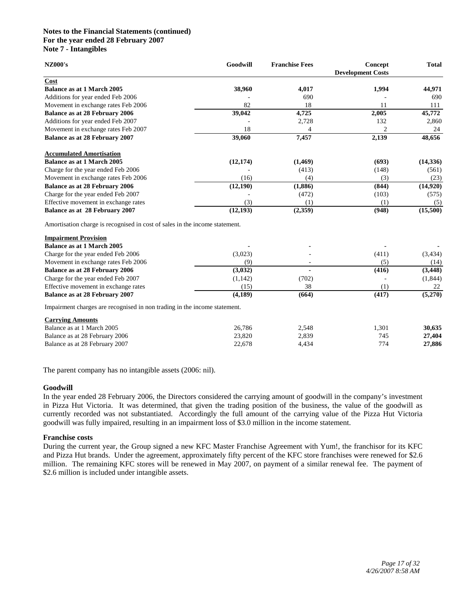## **Notes to the Financial Statements (continued) For the year ended 28 February 2007 Note 7 - Intangibles**

| <b>NZ000's</b>                                                              | Goodwill  | <b>Franchise Fees</b> | Concept<br><b>Development Costs</b> | <b>Total</b> |
|-----------------------------------------------------------------------------|-----------|-----------------------|-------------------------------------|--------------|
| Cost                                                                        |           |                       |                                     |              |
| <b>Balance as at 1 March 2005</b>                                           | 38,960    | 4,017                 | 1,994                               | 44,971       |
| Additions for year ended Feb 2006                                           |           | 690                   |                                     | 690          |
| Movement in exchange rates Feb 2006                                         | 82        | 18                    | 11                                  | 111          |
| Balance as at 28 February 2006                                              | 39,042    | 4,725                 | 2,005                               | 45,772       |
| Additions for year ended Feb 2007                                           |           | 2,728                 | 132                                 | 2,860        |
| Movement in exchange rates Feb 2007                                         | 18        | $\overline{4}$        | $\overline{c}$                      | 24           |
| <b>Balance as at 28 February 2007</b>                                       | 39,060    | 7,457                 | 2,139                               | 48,656       |
| <b>Accumulated Amortisation</b>                                             |           |                       |                                     |              |
| <b>Balance as at 1 March 2005</b>                                           | (12, 174) | (1,469)               | (693)                               | (14, 336)    |
| Charge for the year ended Feb 2006                                          |           | (413)                 | (148)                               | (561)        |
| Movement in exchange rates Feb 2006                                         | (16)      | (4)                   | (3)                                 | (23)         |
| <b>Balance as at 28 February 2006</b>                                       | (12,190)  | (1,886)               | (844)                               | (14,920)     |
| Charge for the year ended Feb 2007                                          |           | (472)                 | (103)                               | (575)        |
| Effective movement in exchange rates                                        | (3)       | (1)                   | (1)                                 | (5)          |
| Balance as at 28 February 2007                                              | (12, 193) | (2,359)               | (948)                               | (15,500)     |
| Amortisation charge is recognised in cost of sales in the income statement. |           |                       |                                     |              |
| <b>Impairment Provision</b>                                                 |           |                       |                                     |              |
| <b>Balance as at 1 March 2005</b>                                           |           |                       |                                     |              |
| Charge for the year ended Feb 2006                                          | (3,023)   |                       | (411)                               | (3, 434)     |
| Movement in exchange rates Feb 2006                                         | (9)       |                       | (5)                                 | (14)         |
| Balance as at 28 February 2006                                              | (3,032)   |                       | (416)                               | (3, 448)     |
| Charge for the year ended Feb 2007                                          | (1, 142)  | (702)                 |                                     | (1, 844)     |
| Effective movement in exchange rates                                        | (15)      | 38                    | (1)                                 | 22           |
| <b>Balance as at 28 February 2007</b>                                       | (4,189)   | (664)                 | (417)                               | (5,270)      |
| Impairment charges are recognised in non trading in the income statement.   |           |                       |                                     |              |
| <b>Carrying Amounts</b>                                                     |           |                       |                                     |              |
| Balance as at 1 March 2005                                                  | 26,786    | 2,548                 | 1,301                               | 30,635       |
| Balance as at 28 February 2006                                              | 23,820    | 2,839                 | 745                                 | 27,404       |
| Balance as at 28 February 2007                                              | 22,678    | 4,434                 | 774                                 | 27,886       |

The parent company has no intangible assets (2006: nil).

#### **Goodwill**

In the year ended 28 February 2006, the Directors considered the carrying amount of goodwill in the company's investment in Pizza Hut Victoria. It was determined, that given the trading position of the business, the value of the goodwill as currently recorded was not substantiated. Accordingly the full amount of the carrying value of the Pizza Hut Victoria goodwill was fully impaired, resulting in an impairment loss of \$3.0 million in the income statement.

#### **Franchise costs**

During the current year, the Group signed a new KFC Master Franchise Agreement with Yum!, the franchisor for its KFC and Pizza Hut brands. Under the agreement, approximately fifty percent of the KFC store franchises were renewed for \$2.6 million. The remaining KFC stores will be renewed in May 2007, on payment of a similar renewal fee. The payment of \$2.6 million is included under intangible assets.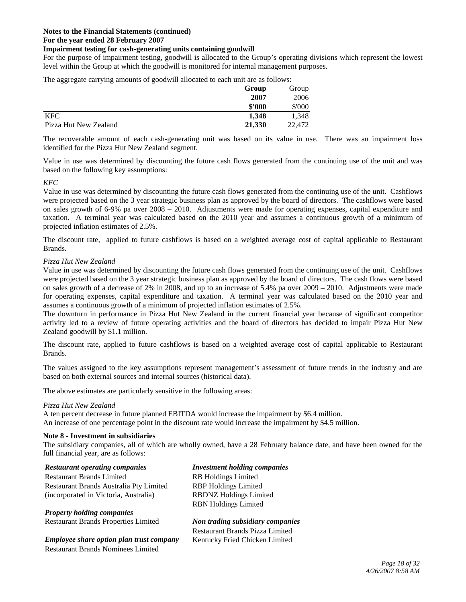## **Impairment testing for cash-generating units containing goodwill**

For the purpose of impairment testing, goodwill is allocated to the Group's operating divisions which represent the lowest level within the Group at which the goodwill is monitored for internal management purposes.

The aggregate carrying amounts of goodwill allocated to each unit are as follows:

|                       | Group  | Group  |
|-----------------------|--------|--------|
|                       | 2007   | 2006   |
|                       | \$'000 | \$'000 |
| <b>KFC</b>            | 1.348  | 1.348  |
| Pizza Hut New Zealand | 21,330 | 22,472 |

The recoverable amount of each cash-generating unit was based on its value in use. There was an impairment loss identified for the Pizza Hut New Zealand segment.

Value in use was determined by discounting the future cash flows generated from the continuing use of the unit and was based on the following key assumptions:

*KFC* 

Value in use was determined by discounting the future cash flows generated from the continuing use of the unit. Cashflows were projected based on the 3 year strategic business plan as approved by the board of directors. The cashflows were based on sales growth of 6-9% pa over 2008 – 2010. Adjustments were made for operating expenses, capital expenditure and taxation. A terminal year was calculated based on the 2010 year and assumes a continuous growth of a minimum of projected inflation estimates of 2.5%.

The discount rate, applied to future cashflows is based on a weighted average cost of capital applicable to Restaurant Brands.

## *Pizza Hut New Zealand*

Value in use was determined by discounting the future cash flows generated from the continuing use of the unit. Cashflows were projected based on the 3 year strategic business plan as approved by the board of directors. The cash flows were based on sales growth of a decrease of 2% in 2008, and up to an increase of 5.4% pa over 2009 – 2010. Adjustments were made for operating expenses, capital expenditure and taxation. A terminal year was calculated based on the 2010 year and assumes a continuous growth of a minimum of projected inflation estimates of 2.5%.

The downturn in performance in Pizza Hut New Zealand in the current financial year because of significant competitor activity led to a review of future operating activities and the board of directors has decided to impair Pizza Hut New Zealand goodwill by \$1.1 million.

The discount rate, applied to future cashflows is based on a weighted average cost of capital applicable to Restaurant Brands.

The values assigned to the key assumptions represent management's assessment of future trends in the industry and are based on both external sources and internal sources (historical data).

The above estimates are particularly sensitive in the following areas:

## *Pizza Hut New Zealand*

A ten percent decrease in future planned EBITDA would increase the impairment by \$6.4 million. An increase of one percentage point in the discount rate would increase the impairment by \$4.5 million.

## **Note 8 - Investment in subsidiaries**

The subsidiary companies, all of which are wholly owned, have a 28 February balance date, and have been owned for the full financial year, are as follows:

#### *Restaurant operating companies Investment holding companies*

Restaurant Brands Limited RB Holdings Limited Restaurant Brands Australia Pty Limited RBP Holdings Limited (incorporated in Victoria, Australia) RBDNZ Holdings Limited

*Property holding companies* Restaurant Brands Properties Limited *Non trading subsidiary companies*

*Employee share option plan trust company* Kentucky Fried Chicken Limited Restaurant Brands Nominees Limited

RBN Holdings Limited

Restaurant Brands Pizza Limited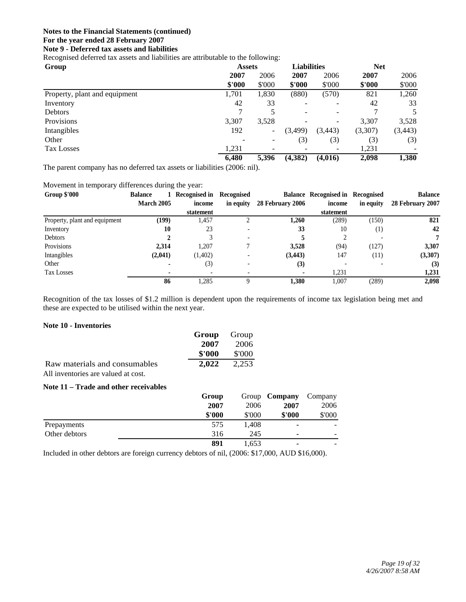## **Note 9 - Deferred tax assets and liabilities**

Recognised deferred tax assets and liabilities are attributable to the following:

| Group                         | <b>Assets</b> |        | <b>Liabilities</b>       |          | <b>Net</b> |          |
|-------------------------------|---------------|--------|--------------------------|----------|------------|----------|
|                               | 2007          | 2006   | 2007                     | 2006     | 2007       | 2006     |
|                               | \$'000        | \$'000 | \$'000                   | \$'000   | \$'000     | \$'000   |
| Property, plant and equipment | 1,701         | 1,830  | (880)                    | (570)    | 821        | 1,260    |
| Inventory                     | 42            | 33     |                          |          | 42         | 33       |
| <b>Debtors</b>                |               | 5      | $\overline{\phantom{a}}$ |          |            | 5        |
| Provisions                    | 3,307         | 3,528  |                          | ۰        | 3,307      | 3,528    |
| Intangibles                   | 192           | ۰.     | (3,499)                  | (3, 443) | (3,307)    | (3, 443) |
| Other                         |               |        | (3)                      | (3)      | (3)        | (3)      |
| Tax Losses                    | 1,231         |        | $\overline{\phantom{a}}$ |          | 1,231      |          |
|                               | 6,480         | 5,396  | (4,382)                  | (4,016)  | 2,098      | 1,380    |

The parent company has no deferred tax assets or liabilities (2006: nil).

Movement in temporary differences during the year:

| <b>Group \$'000</b>           | <b>Balance</b>    | 1 Recognised in Recognised |           |                  | <b>Balance Recognised in Recognised</b> |           | <b>Balance</b>   |
|-------------------------------|-------------------|----------------------------|-----------|------------------|-----------------------------------------|-----------|------------------|
|                               | <b>March 2005</b> | income                     | in equity | 28 February 2006 | income                                  | in equity | 28 February 2007 |
|                               |                   | statement                  |           |                  | statement                               |           |                  |
| Property, plant and equipment | (199)             | 1,457                      |           | 1.260            | (289)                                   | (150)     | 821              |
| Inventory                     | 10                | 23                         |           | 33               | 10                                      | $^{(1)}$  | 42               |
| Debtors                       |                   |                            |           |                  |                                         |           |                  |
| Provisions                    | 2.314             | 1,207                      |           | 3.528            | (94)                                    | (127)     | 3,307            |
| Intangibles                   | (2,041)           | (1,402)                    |           | (3, 443)         | 147                                     | (11)      | (3,307)          |
| Other                         |                   | (3)                        |           | (3)              |                                         |           | (3)              |
| <b>Tax Losses</b>             |                   |                            |           |                  | 1,231                                   |           | 1,231            |
|                               | 86                | .285                       |           | 1.380            | 1,007                                   | (289)     | 2,098            |

Recognition of the tax losses of \$1.2 million is dependent upon the requirements of income tax legislation being met and these are expected to be utilised within the next year.

## **Note 10 - Inventories**

|                                     | <b>Group</b> Group |        |
|-------------------------------------|--------------------|--------|
|                                     | 2007               | 2006   |
|                                     | \$'000             | \$'000 |
| Raw materials and consumables       | 2.022              | 2.253  |
| All inventories are valued at cost. |                    |        |

## **Note 11 – Trade and other receivables**

|               | Group  |        | Group <b>Company</b>     | Company |
|---------------|--------|--------|--------------------------|---------|
|               | 2007   | 2006   | 2007                     | 2006    |
|               | \$'000 | \$'000 | \$'000                   | \$'000  |
| Prepayments   | 575    | 1,408  | $\overline{\phantom{a}}$ |         |
| Other debtors | 316    | 245    | ٠                        |         |
|               | 891    | 1,653  | ۰                        |         |

Included in other debtors are foreign currency debtors of nil, (2006: \$17,000, AUD \$16,000).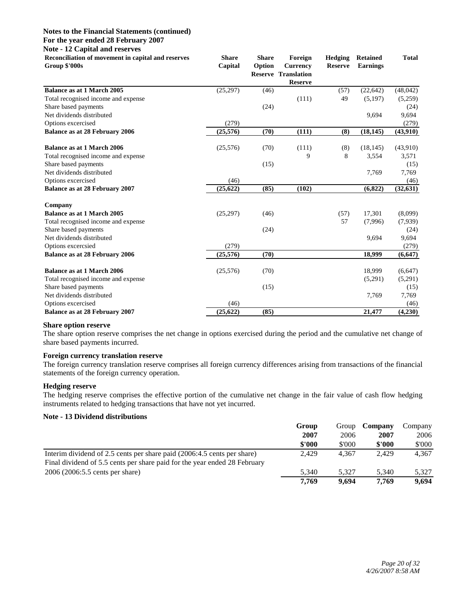#### **Note - 12 Capital and reserves**

| Reconciliation of movement in capital and reserves<br>Group \$'000s | <b>Share</b><br>Capital | <b>Share</b><br>Option | Foreign<br><b>Currency</b><br><b>Reserve Translation</b><br><b>Reserve</b> | Hedging<br><b>Reserve</b> | <b>Retained</b><br><b>Earnings</b> | <b>Total</b> |
|---------------------------------------------------------------------|-------------------------|------------------------|----------------------------------------------------------------------------|---------------------------|------------------------------------|--------------|
| <b>Balance as at 1 March 2005</b>                                   | (25, 297)               | (46)                   |                                                                            | (57)                      | (22, 642)                          | (48, 042)    |
| Total recognised income and expense                                 |                         |                        | (111)                                                                      | 49                        | (5,197)                            | (5,259)      |
| Share based payments                                                |                         | (24)                   |                                                                            |                           |                                    | (24)         |
| Net dividends distributed                                           |                         |                        |                                                                            |                           | 9.694                              | 9,694        |
| Options excercised                                                  | (279)                   |                        |                                                                            |                           |                                    | (279)        |
| <b>Balance as at 28 February 2006</b>                               | (25,576)                | (70)                   | (111)                                                                      | (8)                       | (18, 145)                          | (43,910)     |
| <b>Balance as at 1 March 2006</b>                                   | (25, 576)               | (70)                   | (111)                                                                      | (8)                       | (18, 145)                          | (43,910)     |
| Total recognised income and expense                                 |                         |                        | 9                                                                          | 8                         | 3,554                              | 3,571        |
| Share based payments                                                |                         | (15)                   |                                                                            |                           |                                    | (15)         |
| Net dividends distributed                                           |                         |                        |                                                                            |                           | 7,769                              | 7,769        |
| Options excercised                                                  | (46)                    |                        |                                                                            |                           |                                    | (46)         |
| <b>Balance as at 28 February 2007</b>                               | (25, 622)               | (85)                   | (102)                                                                      |                           | (6, 822)                           | (32, 631)    |
| Company                                                             |                         |                        |                                                                            |                           |                                    |              |
| <b>Balance as at 1 March 2005</b>                                   | (25, 297)               | (46)                   |                                                                            | (57)                      | 17,301                             | (8,099)      |
| Total recognised income and expense                                 |                         |                        |                                                                            | 57                        | (7,996)                            | (7,939)      |
| Share based payments                                                |                         | (24)                   |                                                                            |                           |                                    | (24)         |
| Net dividends distributed                                           |                         |                        |                                                                            |                           | 9,694                              | 9,694        |
| Options excercsied                                                  | (279)                   |                        |                                                                            |                           |                                    | (279)        |
| <b>Balance as at 28 February 2006</b>                               | (25,576)                | (70)                   |                                                                            |                           | 18,999                             | (6, 647)     |
| <b>Balance as at 1 March 2006</b>                                   | (25,576)                | (70)                   |                                                                            |                           | 18,999                             | (6, 647)     |
| Total recognised income and expense                                 |                         |                        |                                                                            |                           | (5,291)                            | (5,291)      |
| Share based payments                                                |                         | (15)                   |                                                                            |                           |                                    | (15)         |
| Net dividends distributed                                           |                         |                        |                                                                            |                           | 7,769                              | 7,769        |
| Options excercised                                                  | (46)                    |                        |                                                                            |                           |                                    | (46)         |
| <b>Balance as at 28 February 2007</b>                               | (25, 622)               | (85)                   |                                                                            |                           | 21,477                             | (4,230)      |

## **Share option reserve**

The share option reserve comprises the net change in options exercised during the period and the cumulative net change of share based payments incurred.

## **Foreign currency translation reserve**

The foreign currency translation reserve comprises all foreign currency differences arising from transactions of the financial statements of the foreign currency operation.

## **Hedging reserve**

The hedging reserve comprises the effective portion of the cumulative net change in the fair value of cash flow hedging instruments related to hedging transactions that have not yet incurred.

## **Note - 13 Dividend distributions**

|                                                                           | Group  | Group  | Company | Company |
|---------------------------------------------------------------------------|--------|--------|---------|---------|
|                                                                           | 2007   | 2006   | 2007    | 2006    |
|                                                                           | \$'000 | \$'000 | \$'000  | \$'000  |
| Interim dividend of 2.5 cents per share paid (2006:4.5 cents per share)   | 2.429  | 4.367  | 2.429   | 4.367   |
| Final dividend of 5.5 cents per share paid for the year ended 28 February |        |        |         |         |
| 2006 (2006:5.5 cents per share)                                           | 5.340  | 5.327  | 5,340   | 5,327   |
|                                                                           | 7.769  | 9.694  | 7.769   | 9,694   |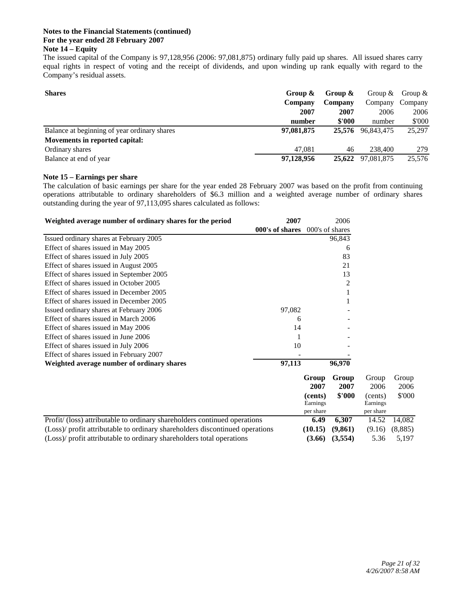## **Notes to the Financial Statements (continued) For the year ended 28 February 2007 Note 14 – Equity**

The issued capital of the Company is 97,128,956 (2006: 97,081,875) ordinary fully paid up shares. All issued shares carry equal rights in respect of voting and the receipt of dividends, and upon winding up rank equally with regard to the Company's residual assets.

| <b>Shares</b>                                | Group $\&$ | Group & | Group $\&$        | Group $\&$ |
|----------------------------------------------|------------|---------|-------------------|------------|
|                                              | Company    | Company | Company           | Company    |
|                                              | 2007       | 2007    | 2006              | 2006       |
|                                              | number     | \$'000  | number            | \$'000     |
| Balance at beginning of year ordinary shares | 97,081,875 | 25.576  | 96,843,475        | 25,297     |
| Movements in reported capital:               |            |         |                   |            |
| Ordinary shares                              | 47.081     | 46      | 238,400           | 279        |
| Balance at end of year                       | 97,128,956 |         | 25.622 97.081.875 | 25,576     |

## **Note 15 – Earnings per share**

The calculation of basic earnings per share for the year ended 28 February 2007 was based on the profit from continuing operations attributable to ordinary shareholders of \$6.3 million and a weighted average number of ordinary shares outstanding during the year of 97,113,095 shares calculated as follows:

| Weighted average number of ordinary shares for the period                    | 2007            |                     | 2006            |                     |               |
|------------------------------------------------------------------------------|-----------------|---------------------|-----------------|---------------------|---------------|
|                                                                              | 000's of shares |                     | 000's of shares |                     |               |
| Issued ordinary shares at February 2005                                      |                 |                     | 96,843          |                     |               |
| Effect of shares issued in May 2005                                          |                 |                     | 6               |                     |               |
| Effect of shares issued in July 2005                                         |                 |                     | 83              |                     |               |
| Effect of shares issued in August 2005                                       |                 |                     | 21              |                     |               |
| Effect of shares issued in September 2005                                    |                 |                     | 13              |                     |               |
| Effect of shares issued in October 2005                                      |                 |                     | 2               |                     |               |
| Effect of shares issued in December 2005                                     |                 |                     |                 |                     |               |
| Effect of shares issued in December 2005                                     |                 |                     |                 |                     |               |
| Issued ordinary shares at February 2006                                      | 97,082          |                     |                 |                     |               |
| Effect of shares issued in March 2006                                        | 6               |                     |                 |                     |               |
| Effect of shares issued in May 2006                                          | 14              |                     |                 |                     |               |
| Effect of shares issued in June 2006                                         |                 |                     |                 |                     |               |
| Effect of shares issued in July 2006                                         | 10              |                     |                 |                     |               |
| Effect of shares issued in February 2007                                     |                 |                     |                 |                     |               |
| Weighted average number of ordinary shares                                   | 97,113          |                     | 96,970          |                     |               |
|                                                                              |                 | Group<br>2007       | Group<br>2007   | Group<br>2006       | Group<br>2006 |
|                                                                              |                 | (cents)<br>Earnings | \$'000          | (cents)<br>Earnings | \$'000        |
| Profit/ (loss) attributable to ordinary shareholders continued operations    |                 | per share<br>6.49   | 6,307           | per share<br>14.52  | 14,082        |
| (Loss)/ profit attributable to ordinary shareholders discontinued operations |                 |                     |                 |                     |               |
|                                                                              |                 | (10.15)             | (9, 861)        | (9.16)              | (8,885)       |
| (Loss)/ profit attributable to ordinary shareholders total operations        |                 | (3.66)              | (3,554)         | 5.36                | 5,197         |

Group Group **2007 2007** 2006 2006  $$'000$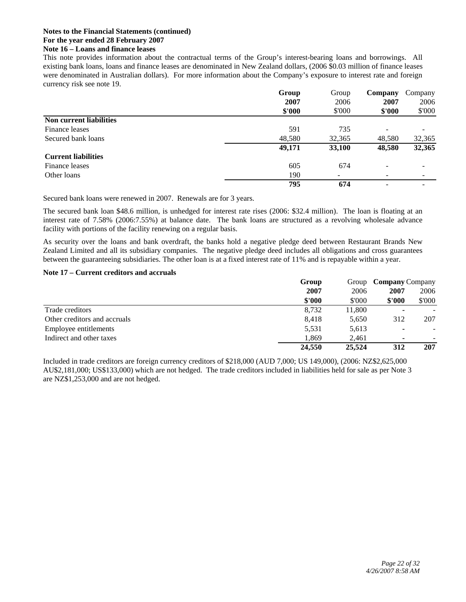## **Notes to the Financial Statements (continued) For the year ended 28 February 2007 Note 16 – Loans and finance leases**

This note provides information about the contractual terms of the Group's interest-bearing loans and borrowings. All existing bank loans, loans and finance leases are denominated in New Zealand dollars, (2006 \$0.03 million of finance leases were denominated in Australian dollars). For more information about the Company's exposure to interest rate and foreign currency risk see note 19.

|                                | Group  | Group                    | Company                  | Company |
|--------------------------------|--------|--------------------------|--------------------------|---------|
|                                | 2007   | 2006                     | 2007                     | 2006    |
|                                | \$'000 | \$'000                   | \$'000                   | \$'000  |
| <b>Non current liabilities</b> |        |                          |                          |         |
| Finance leases                 | 591    | 735                      |                          |         |
| Secured bank loans             | 48,580 | 32,365                   | 48,580                   | 32,365  |
|                                | 49,171 | 33,100                   | 48,580                   | 32,365  |
| <b>Current liabilities</b>     |        |                          |                          |         |
| Finance leases                 | 605    | 674                      | $\overline{\phantom{0}}$ |         |
| Other loans                    | 190    | $\overline{\phantom{a}}$ | ۰                        | ۰       |
|                                | 795    | 674                      |                          |         |

Secured bank loans were renewed in 2007. Renewals are for 3 years.

The secured bank loan \$48.6 million, is unhedged for interest rate rises (2006: \$32.4 million). The loan is floating at an interest rate of 7.58% (2006:7.55%) at balance date. The bank loans are structured as a revolving wholesale advance facility with portions of the facility renewing on a regular basis.

As security over the loans and bank overdraft, the banks hold a negative pledge deed between Restaurant Brands New Zealand Limited and all its subsidiary companies. The negative pledge deed includes all obligations and cross guarantees between the guaranteeing subsidiaries. The other loan is at a fixed interest rate of 11% and is repayable within a year.

### **Note 17 – Current creditors and accruals**

|                              | Group  | Group  |                          | <b>Company Company</b> |  |
|------------------------------|--------|--------|--------------------------|------------------------|--|
|                              | 2007   | 2006   | 2007                     | 2006                   |  |
|                              | \$'000 | \$'000 | \$'000                   | \$000                  |  |
| Trade creditors              | 8,732  | 11,800 | -                        |                        |  |
| Other creditors and accruals | 8,418  | 5,650  | 312                      | 207                    |  |
| Employee entitlements        | 5,531  | 5,613  | $\overline{\phantom{a}}$ |                        |  |
| Indirect and other taxes     | 1.869  | 2.461  | ۰                        |                        |  |
|                              | 24,550 | 25,524 | 312                      | 207                    |  |

Included in trade creditors are foreign currency creditors of \$218,000 (AUD 7,000; US 149,000), (2006: NZ\$2,625,000 AU\$2,181,000; US\$133,000) which are not hedged. The trade creditors included in liabilities held for sale as per Note 3 are NZ\$1,253,000 and are not hedged.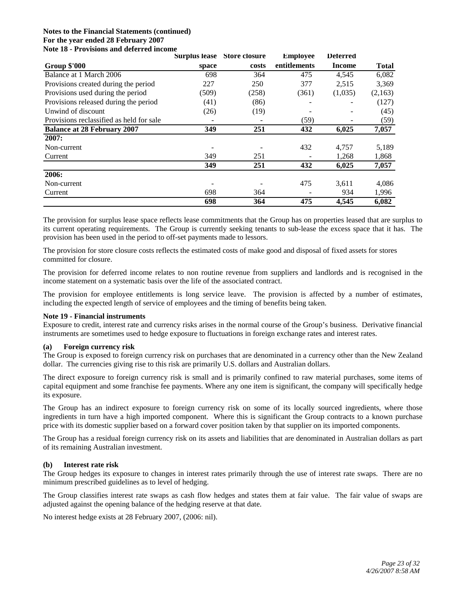#### **Notes to the Financial Statements (continued) For the year ended 28 February 2007 Note 18 - Provisions and deferred income**

|                                          | <b>Surplus lease</b> | Store closure | <b>Employee</b> | <b>Deferred</b> |              |
|------------------------------------------|----------------------|---------------|-----------------|-----------------|--------------|
| <b>Group \$'000</b>                      | space                | costs         | entitlements    | <b>Income</b>   | <b>Total</b> |
| Balance at 1 March 2006                  | 698                  | 364           | 475             | 4,545           | 6,082        |
| Provisions created during the period     | 227                  | 250           | 377             | 2,515           | 3,369        |
| Provisions used during the period        | (509)                | (258)         | (361)           | (1,035)         | (2,163)      |
| Provisions released during the period    | (41)                 | (86)          |                 |                 | (127)        |
| Unwind of discount                       | (26)                 | (19)          |                 |                 | (45)         |
| Provisions reclassified as held for sale |                      |               | (59)            |                 | (59)         |
| <b>Balance at 28 February 2007</b>       | 349                  | 251           | 432             | 6,025           | 7,057        |
| 2007:                                    |                      |               |                 |                 |              |
| Non-current                              |                      |               | 432             | 4,757           | 5,189        |
| Current                                  | 349                  | 251           |                 | 1,268           | 1,868        |
|                                          | 349                  | 251           | 432             | 6,025           | 7,057        |
| 2006:                                    |                      |               |                 |                 |              |
| Non-current                              |                      |               | 475             | 3,611           | 4,086        |
| Current                                  | 698                  | 364           |                 | 934             | 1,996        |
|                                          | 698                  | 364           | 475             | 4,545           | 6,082        |

The provision for surplus lease space reflects lease commitments that the Group has on properties leased that are surplus to its current operating requirements. The Group is currently seeking tenants to sub-lease the excess space that it has. The provision has been used in the period to off-set payments made to lessors.

The provision for store closure costs reflects the estimated costs of make good and disposal of fixed assets for stores committed for closure.

The provision for deferred income relates to non routine revenue from suppliers and landlords and is recognised in the income statement on a systematic basis over the life of the associated contract.

The provision for employee entitlements is long service leave. The provision is affected by a number of estimates, including the expected length of service of employees and the timing of benefits being taken.

## **Note 19 - Financial instruments**

Exposure to credit, interest rate and currency risks arises in the normal course of the Group's business. Derivative financial instruments are sometimes used to hedge exposure to fluctuations in foreign exchange rates and interest rates.

## **(a) Foreign currency risk**

The Group is exposed to foreign currency risk on purchases that are denominated in a currency other than the New Zealand dollar. The currencies giving rise to this risk are primarily U.S. dollars and Australian dollars.

The direct exposure to foreign currency risk is small and is primarily confined to raw material purchases, some items of capital equipment and some franchise fee payments. Where any one item is significant, the company will specifically hedge its exposure.

The Group has an indirect exposure to foreign currency risk on some of its locally sourced ingredients, where those ingredients in turn have a high imported component. Where this is significant the Group contracts to a known purchase price with its domestic supplier based on a forward cover position taken by that supplier on its imported components.

The Group has a residual foreign currency risk on its assets and liabilities that are denominated in Australian dollars as part of its remaining Australian investment.

#### **(b) Interest rate risk**

The Group hedges its exposure to changes in interest rates primarily through the use of interest rate swaps. There are no minimum prescribed guidelines as to level of hedging.

The Group classifies interest rate swaps as cash flow hedges and states them at fair value. The fair value of swaps are adjusted against the opening balance of the hedging reserve at that date.

No interest hedge exists at 28 February 2007, (2006: nil).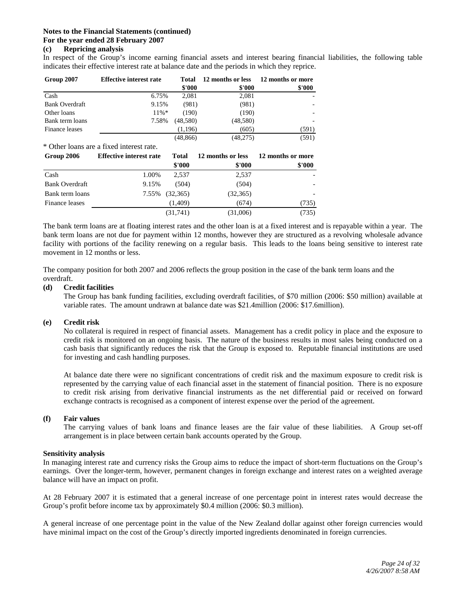## **(c) Repricing analysis**

In respect of the Group's income earning financial assets and interest bearing financial liabilities, the following table indicates their effective interest rate at balance date and the periods in which they reprice.

| Group 2007            | <b>Effective interest rate</b> | Total     | 12 months or less | 12 months or more |  |
|-----------------------|--------------------------------|-----------|-------------------|-------------------|--|
|                       |                                | \$'000    | \$'000            | \$'000            |  |
| Cash                  | 6.75%                          | 2,081     | 2,081             |                   |  |
| <b>Bank Overdraft</b> | 9.15%                          | (981)     | (981)             |                   |  |
| Other loans           | $11\% *$                       | (190)     | (190)             |                   |  |
| Bank term loans       | 7.58%                          | (48.580)  | (48,580)          |                   |  |
| Finance leases        |                                | (1,196)   | (605)             | (591)             |  |
|                       |                                | (48, 866) | (48,275)          | (591)             |  |

\* Other loans are a fixed interest rate.

| Group 2006            | <b>Effective interest rate</b> | <b>Total</b> | 12 months or less | 12 months or more |
|-----------------------|--------------------------------|--------------|-------------------|-------------------|
|                       |                                | \$'000       | \$'000            | \$'000            |
| Cash                  | 1.00%                          | 2.537        | 2,537             |                   |
| <b>Bank Overdraft</b> | 9.15%                          | (504)        | (504)             |                   |
| Bank term loans       | 7.55%                          | (32,365)     | (32,365)          |                   |
| Finance leases        |                                | (1,409)      | (674)             | (735)             |
|                       |                                | (31,741)     | (31,006)          | (735)             |

The bank term loans are at floating interest rates and the other loan is at a fixed interest and is repayable within a year. The bank term loans are not due for payment within 12 months, however they are structured as a revolving wholesale advance facility with portions of the facility renewing on a regular basis. This leads to the loans being sensitive to interest rate movement in 12 months or less.

The company position for both 2007 and 2006 reflects the group position in the case of the bank term loans and the overdraft.

### **(d) Credit facilities**

The Group has bank funding facilities, excluding overdraft facilities, of \$70 million (2006: \$50 million) available at variable rates. The amount undrawn at balance date was \$21.4million (2006: \$17.6million).

#### **(e) Credit risk**

 No collateral is required in respect of financial assets. Management has a credit policy in place and the exposure to credit risk is monitored on an ongoing basis. The nature of the business results in most sales being conducted on a cash basis that significantly reduces the risk that the Group is exposed to. Reputable financial institutions are used for investing and cash handling purposes.

 At balance date there were no significant concentrations of credit risk and the maximum exposure to credit risk is represented by the carrying value of each financial asset in the statement of financial position. There is no exposure to credit risk arising from derivative financial instruments as the net differential paid or received on forward exchange contracts is recognised as a component of interest expense over the period of the agreement.

#### **(f) Fair values**

 The carrying values of bank loans and finance leases are the fair value of these liabilities. A Group set-off arrangement is in place between certain bank accounts operated by the Group.

#### **Sensitivity analysis**

In managing interest rate and currency risks the Group aims to reduce the impact of short-term fluctuations on the Group's earnings. Over the longer-term, however, permanent changes in foreign exchange and interest rates on a weighted average balance will have an impact on profit.

At 28 February 2007 it is estimated that a general increase of one percentage point in interest rates would decrease the Group's profit before income tax by approximately \$0.4 million (2006: \$0.3 million).

A general increase of one percentage point in the value of the New Zealand dollar against other foreign currencies would have minimal impact on the cost of the Group's directly imported ingredients denominated in foreign currencies.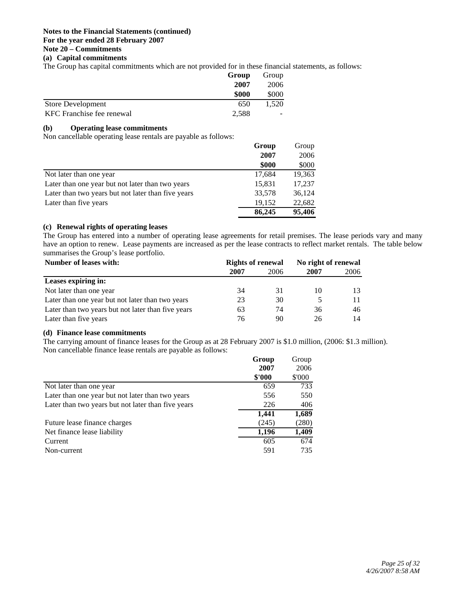#### **Notes to the Financial Statements (continued) For the year ended 28 February 2007 Note 20 – Commitments**

## **(a) Capital commitments**

The Group has capital commitments which are not provided for in these financial statements, as follows:

|                           | Group | Group |
|---------------------------|-------|-------|
|                           | 2007  | 2006  |
|                           | \$000 | \$000 |
| <b>Store Development</b>  | 650   | 1.520 |
| KFC Franchise fee renewal | 2,588 | -     |

## **(b) Operating lease commitments**

Non cancellable operating lease rentals are payable as follows:

|                                                    | Group  | Group  |
|----------------------------------------------------|--------|--------|
|                                                    | 2007   | 2006   |
|                                                    | \$000  | \$000  |
| Not later than one year                            | 17,684 | 19,363 |
| Later than one year but not later than two years   | 15,831 | 17,237 |
| Later than two years but not later than five years | 33,578 | 36,124 |
| Later than five years                              | 19,152 | 22.682 |
|                                                    | 86,245 | 95,406 |

## **(c) Renewal rights of operating leases**

The Group has entered into a number of operating lease agreements for retail premises. The lease periods vary and many have an option to renew. Lease payments are increased as per the lease contracts to reflect market rentals. The table below summarises the Group's lease portfolio.

| Number of leases with:                             | <b>Rights of renewal</b> |      | No right of renewal |      |  |
|----------------------------------------------------|--------------------------|------|---------------------|------|--|
|                                                    | 2007                     | 2006 | 2007                | 2006 |  |
| Leases expiring in:                                |                          |      |                     |      |  |
| Not later than one year                            | 34                       | 31   | 10                  | 13   |  |
| Later than one year but not later than two years   | 23                       | 30   |                     | 11   |  |
| Later than two years but not later than five years | 63                       | 74   | 36                  | 46   |  |
| Later than five years                              | 76                       | 90   | 26                  | 14   |  |

## **(d) Finance lease commitments**

The carrying amount of finance leases for the Group as at 28 February 2007 is \$1.0 million, (2006: \$1.3 million). Non cancellable finance lease rentals are payable as follows:

|                                                    | Group<br>2007<br>\$'000 | Group<br>2006<br>\$'000 |
|----------------------------------------------------|-------------------------|-------------------------|
| Not later than one year                            | 659                     | 733                     |
| Later than one year but not later than two years   | 556                     | 550                     |
| Later than two years but not later than five years | 226                     | 406                     |
|                                                    | 1,441                   | 1,689                   |
| Future lease finance charges                       | (245)                   | (280)                   |
| Net finance lease liability                        | 1,196                   | 1,409                   |
| Current                                            | 605                     | 674                     |
| Non-current                                        | 591                     | 735                     |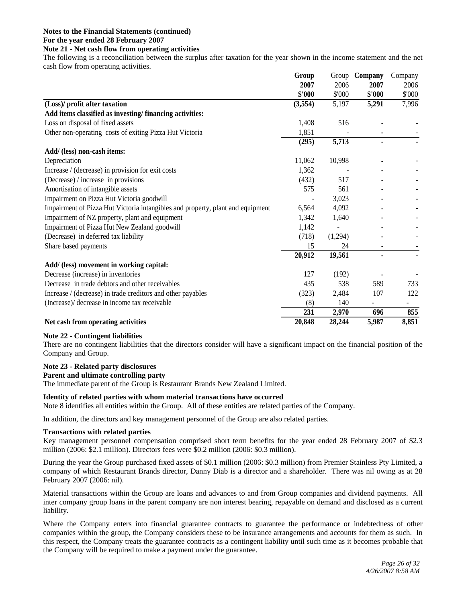## **Note 21 - Net cash flow from operating activities**

The following is a reconciliation between the surplus after taxation for the year shown in the income statement and the net cash flow from operating activities.

|                                                                                | Group   |         | Group Company | Company                  |
|--------------------------------------------------------------------------------|---------|---------|---------------|--------------------------|
|                                                                                | 2007    | 2006    | 2007          | 2006                     |
|                                                                                | \$'000  | \$'000  | \$'000        | \$'000                   |
| (Loss)/ profit after taxation                                                  | (3,554) | 5,197   | 5,291         | 7,996                    |
| Add items classified as investing/financing activities:                        |         |         |               |                          |
| Loss on disposal of fixed assets                                               | 1,408   | 516     |               |                          |
| Other non-operating costs of exiting Pizza Hut Victoria                        | 1,851   |         |               |                          |
|                                                                                | (295)   | 5,713   |               |                          |
| Add/ (less) non-cash items:                                                    |         |         |               |                          |
| Depreciation                                                                   | 11,062  | 10,998  |               |                          |
| Increase / (decrease) in provision for exit costs                              | 1,362   |         |               |                          |
| (Decrease) / increase in provisions                                            | (432)   | 517     |               |                          |
| Amortisation of intangible assets                                              | 575     | 561     |               |                          |
| Impairment on Pizza Hut Victoria goodwill                                      |         | 3,023   |               |                          |
| Impairment of Pizza Hut Victoria intangibles and property, plant and equipment | 6,564   | 4,092   |               |                          |
| Impairment of NZ property, plant and equipment                                 | 1,342   | 1,640   |               |                          |
| Impairment of Pizza Hut New Zealand goodwill                                   | 1,142   |         |               |                          |
| (Decrease) in deferred tax liability                                           | (718)   | (1,294) |               |                          |
| Share based payments                                                           | 15      | 24      |               |                          |
|                                                                                | 20,912  | 19,561  |               |                          |
| Add/ (less) movement in working capital:                                       |         |         |               |                          |
| Decrease (increase) in inventories                                             | 127     | (192)   |               |                          |
| Decrease in trade debtors and other receivables                                | 435     | 538     | 589           | 733                      |
| Increase / (decrease) in trade creditors and other payables                    | (323)   | 2,484   | 107           | 122                      |
| (Increase)/ decrease in income tax receivable                                  | (8)     | 140     |               | $\overline{\phantom{a}}$ |
|                                                                                | 231     | 2,970   | 696           | 855                      |
| Net cash from operating activities                                             | 20,848  | 28,244  | 5,987         | 8,851                    |

#### **Note 22 - Contingent liabilities**

There are no contingent liabilities that the directors consider will have a significant impact on the financial position of the Company and Group.

#### **Note 23 - Related party disclosures**

#### **Parent and ultimate controlling party**

The immediate parent of the Group is Restaurant Brands New Zealand Limited.

#### **Identity of related parties with whom material transactions have occurred**

Note 8 identifies all entities within the Group. All of these entities are related parties of the Company.

In addition, the directors and key management personnel of the Group are also related parties.

#### **Transactions with related parties**

Key management personnel compensation comprised short term benefits for the year ended 28 February 2007 of \$2.3 million (2006: \$2.1 million). Directors fees were \$0.2 million (2006: \$0.3 million).

During the year the Group purchased fixed assets of \$0.1 million (2006: \$0.3 million) from Premier Stainless Pty Limited, a company of which Restaurant Brands director, Danny Diab is a director and a shareholder. There was nil owing as at 28 February 2007 (2006: nil).

Material transactions within the Group are loans and advances to and from Group companies and dividend payments. All inter company group loans in the parent company are non interest bearing, repayable on demand and disclosed as a current liability.

Where the Company enters into financial guarantee contracts to guarantee the performance or indebtedness of other companies within the group, the Company considers these to be insurance arrangements and accounts for them as such. In this respect, the Company treats the guarantee contracts as a contingent liability until such time as it becomes probable that the Company will be required to make a payment under the guarantee.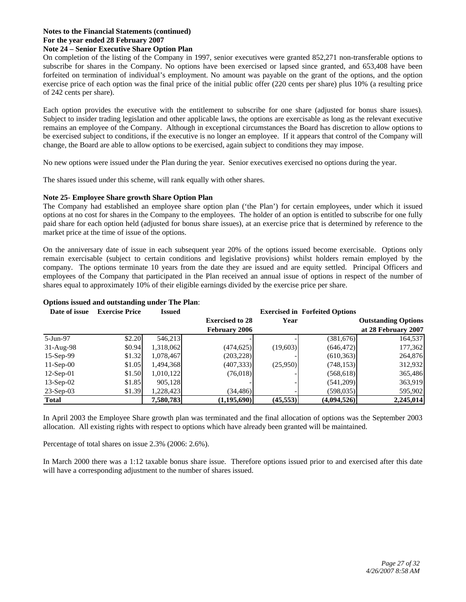#### **Notes to the Financial Statements (continued) For the year ended 28 February 2007 Note 24 – Senior Executive Share Option Plan**

On completion of the listing of the Company in 1997, senior executives were granted 852,271 non-transferable options to subscribe for shares in the Company. No options have been exercised or lapsed since granted, and 653,408 have been forfeited on termination of individual's employment. No amount was payable on the grant of the options, and the option exercise price of each option was the final price of the initial public offer (220 cents per share) plus 10% (a resulting price of 242 cents per share).

Each option provides the executive with the entitlement to subscribe for one share (adjusted for bonus share issues). Subject to insider trading legislation and other applicable laws, the options are exercisable as long as the relevant executive remains an employee of the Company. Although in exceptional circumstances the Board has discretion to allow options to be exercised subject to conditions, if the executive is no longer an employee. If it appears that control of the Company will change, the Board are able to allow options to be exercised, again subject to conditions they may impose.

No new options were issued under the Plan during the year. Senior executives exercised no options during the year.

The shares issued under this scheme, will rank equally with other shares.

### **Note 25- Employee Share growth Share Option Plan**

The Company had established an employee share option plan ('the Plan') for certain employees, under which it issued options at no cost for shares in the Company to the employees. The holder of an option is entitled to subscribe for one fully paid share for each option held (adjusted for bonus share issues), at an exercise price that is determined by reference to the market price at the time of issue of the options.

On the anniversary date of issue in each subsequent year 20% of the options issued become exercisable. Options only remain exercisable (subject to certain conditions and legislative provisions) whilst holders remain employed by the company. The options terminate 10 years from the date they are issued and are equity settled. Principal Officers and employees of the Company that participated in the Plan received an annual issue of options in respect of the number of shares equal to approximately 10% of their eligible earnings divided by the exercise price per share.

| Date of issue | <b>Exercise Price</b> | <b>Issued</b> |                        |           | <b>Exercised in Forfeited Options</b> |                            |
|---------------|-----------------------|---------------|------------------------|-----------|---------------------------------------|----------------------------|
|               |                       |               | <b>Exercised to 28</b> | Year      |                                       | <b>Outstanding Options</b> |
|               |                       |               | <b>February 2006</b>   |           |                                       | at 28 February 2007        |
| 5-Jun-97      | \$2.20                | 546,213       |                        |           | (381, 676)                            | 164,537                    |
| $31-Aug-98$   | \$0.94                | 1,318,062     | (474, 625)             | (19,603)  | (646, 472)                            | 177,362                    |
| $15-Sep-99$   | \$1.32                | 1,078,467     | (203, 228)             |           | (610, 363)                            | 264,876                    |
| $11-Sep-00$   | \$1.05                | 1,494,368     | (407, 333)             | (25,950)  | (748, 153)                            | 312,932                    |
| $12$ -Sep-01  | \$1.50                | 1,010,122     | (76,018)               |           | (568, 618)                            | 365,486                    |
| $13-Sep-02$   | \$1.85                | 905,128       |                        |           | (541,209)                             | 363,919                    |
| $23-Sep-03$   | \$1.39                | 1,228,423     | (34, 486)              |           | (598, 035)                            | 595,902                    |
| <b>Total</b>  |                       | 7,580,783     | (1, 195, 690)          | (45, 553) | (4,094,526)                           | 2,245,014                  |

#### **Options issued and outstanding under The Plan**:

In April 2003 the Employee Share growth plan was terminated and the final allocation of options was the September 2003 allocation. All existing rights with respect to options which have already been granted will be maintained.

Percentage of total shares on issue 2.3% (2006: 2.6%).

In March 2000 there was a 1:12 taxable bonus share issue. Therefore options issued prior to and exercised after this date will have a corresponding adjustment to the number of shares issued.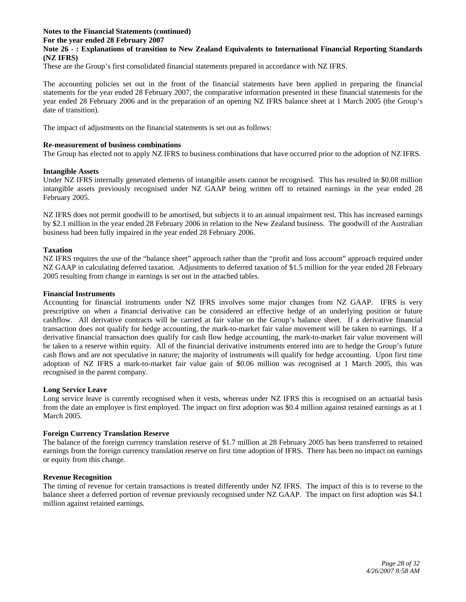#### **Notes to the Financial Statements (continued) For the year ended 28 February 2007 Note 26 - : Explanations of transition to New Zealand Equivalents to International Financial Reporting Standards (NZ IFRS)**

These are the Group's first consolidated financial statements prepared in accordance with NZ IFRS.

The accounting policies set out in the front of the financial statements have been applied in preparing the financial statements for the year ended 28 February 2007, the comparative information presented in these financial statements for the year ended 28 February 2006 and in the preparation of an opening NZ IFRS balance sheet at 1 March 2005 (the Group's date of transition).

The impact of adjustments on the financial statements is set out as follows:

#### **Re-measurement of business combinations**

The Group has elected not to apply NZ IFRS to business combinations that have occurred prior to the adoption of NZ IFRS.

### **Intangible Assets**

Under NZ IFRS internally generated elements of intangible assets cannot be recognised. This has resulted in \$0.08 million intangible assets previously recognised under NZ GAAP being written off to retained earnings in the year ended 28 February 2005.

NZ IFRS does not permit goodwill to be amortised, but subjects it to an annual impairment test. This has increased earnings by \$2.1 million in the year ended 28 February 2006 in relation to the New Zealand business. The goodwill of the Australian business had been fully impaired in the year ended 28 February 2006.

### **Taxation**

NZ IFRS requires the use of the "balance sheet" approach rather than the "profit and loss account" approach required under NZ GAAP in calculating deferred taxation. Adjustments to deferred taxation of \$1.5 million for the year ended 28 February 2005 resulting from change in earnings is set out in the attached tables.

#### **Financial Instruments**

Accounting for financial instruments under NZ IFRS involves some major changes from NZ GAAP. IFRS is very prescriptive on when a financial derivative can be considered an effective hedge of an underlying position or future cashflow. All derivative contracts will be carried at fair value on the Group's balance sheet. If a derivative financial transaction does not qualify for hedge accounting, the mark-to-market fair value movement will be taken to earnings. If a derivative financial transaction does qualify for cash flow hedge accounting, the mark-to-market fair value movement will be taken to a reserve within equity. All of the financial derivative instruments entered into are to hedge the Group's future cash flows and are not speculative in nature; the majority of instruments will qualify for hedge accounting. Upon first time adoption of NZ IFRS a mark-to-market fair value gain of \$0.06 million was recognised at 1 March 2005, this was recognised in the parent company.

#### **Long Service Leave**

Long service leave is currently recognised when it vests, whereas under NZ IFRS this is recognised on an actuarial basis from the date an employee is first employed. The impact on first adoption was \$0.4 million against retained earnings as at 1 March 2005.

#### **Foreign Currency Translation Reserve**

The balance of the foreign currency translation reserve of \$1.7 million at 28 February 2005 has been transferred to retained earnings from the foreign currency translation reserve on first time adoption of IFRS. There has been no impact on earnings or equity from this change.

## **Revenue Recognition**

The timing of revenue for certain transactions is treated differently under NZ IFRS. The impact of this is to reverse to the balance sheet a deferred portion of revenue previously recognised under NZ GAAP. The impact on first adoption was \$4.1 million against retained earnings.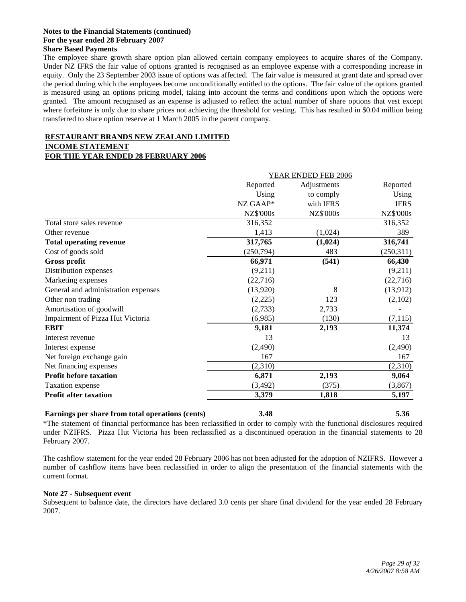#### **Notes to the Financial Statements (continued) For the year ended 28 February 2007 Share Based Payments**

The employee share growth share option plan allowed certain company employees to acquire shares of the Company. Under NZ IFRS the fair value of options granted is recognised as an employee expense with a corresponding increase in equity. Only the 23 September 2003 issue of options was affected. The fair value is measured at grant date and spread over the period during which the employees become unconditionally entitled to the options. The fair value of the options granted is measured using an options pricing model, taking into account the terms and conditions upon which the options were granted. The amount recognised as an expense is adjusted to reflect the actual number of share options that vest except where forfeiture is only due to share prices not achieving the threshold for vesting. This has resulted in \$0.04 million being transferred to share option reserve at 1 March 2005 in the parent company.

## **RESTAURANT BRANDS NEW ZEALAND LIMITED**

# **INCOME STATEMENT**

## **FOR THE YEAR ENDED 28 FEBRUARY 2006**

|                                     |                  | <b>YEAR ENDED FEB 2006</b> |                  |
|-------------------------------------|------------------|----------------------------|------------------|
|                                     | Reported         | Adjustments                | Reported         |
|                                     | Using            | to comply                  | Using            |
|                                     | NZ GAAP*         | with IFRS                  | <b>IFRS</b>      |
|                                     | <b>NZ\$'000s</b> | <b>NZ\$'000s</b>           | <b>NZ\$'000s</b> |
| Total store sales revenue           | 316,352          |                            | 316,352          |
| Other revenue                       | 1,413            | (1,024)                    | 389              |
| <b>Total operating revenue</b>      | 317,765          | (1,024)                    | 316,741          |
| Cost of goods sold                  | (250, 794)       | 483                        | (250,311)        |
| Gross profit                        | 66,971           | (541)                      | 66,430           |
| Distribution expenses               | (9,211)          |                            | (9,211)          |
| Marketing expenses                  | (22, 716)        |                            | (22,716)         |
| General and administration expenses | (13,920)         | 8                          | (13,912)         |
| Other non trading                   | (2,225)          | 123                        | (2,102)          |
| Amortisation of goodwill            | (2,733)          | 2,733                      |                  |
| Impairment of Pizza Hut Victoria    | (6,985)          | (130)                      | (7, 115)         |
| <b>EBIT</b>                         | 9,181            | 2,193                      | 11,374           |
| Interest revenue                    | 13               |                            | 13               |
| Interest expense                    | (2,490)          |                            | (2,490)          |
| Net foreign exchange gain           | 167              |                            | 167              |
| Net financing expenses              | (2,310)          |                            | (2,310)          |
| <b>Profit before taxation</b>       | 6,871            | 2,193                      | 9,064            |
| Taxation expense                    | (3, 492)         | (375)                      | (3, 867)         |
| <b>Profit after taxation</b>        | 3,379            | 1,818                      | 5,197            |

## **Earnings per share from total operations (cents) 3.48 5.36**

\*The statement of financial performance has been reclassified in order to comply with the functional disclosures required under NZIFRS. Pizza Hut Victoria has been reclassified as a discontinued operation in the financial statements to 28 February 2007.

The cashflow statement for the year ended 28 February 2006 has not been adjusted for the adoption of NZIFRS. However a number of cashflow items have been reclassified in order to align the presentation of the financial statements with the current format.

## **Note 27 - Subsequent event**

Subsequent to balance date, the directors have declared 3.0 cents per share final dividend for the year ended 28 February 2007.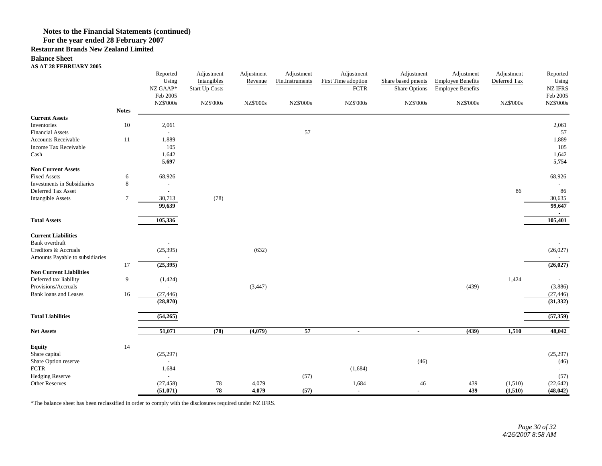**Restaurant Brands New Zealand Limited**

#### **Balance Sheet**

#### **AS AT 28 FEBRUARY 2005**

|                                                       |                | Reported<br>Using<br>NZ GAAP*<br>Feb 2005 | Adjustment<br>Intangibles<br><b>Start Up Costs</b> | Adjustment<br>Revenue | Adjustment<br>Fin.Instruments | Adjustment<br>First Time adoption<br><b>FCTR</b> | Adjustment<br>Share based pments<br>Share Options | Adjustment<br><b>Employee Benefits</b><br><b>Employee Benefits</b> | Adjustment<br>Deferred Tax | Reported<br>Using<br><b>NZ IFRS</b><br>Feb 2005 |
|-------------------------------------------------------|----------------|-------------------------------------------|----------------------------------------------------|-----------------------|-------------------------------|--------------------------------------------------|---------------------------------------------------|--------------------------------------------------------------------|----------------------------|-------------------------------------------------|
|                                                       |                | <b>NZ\$'000s</b>                          | <b>NZ\$'000s</b>                                   | <b>NZ\$'000s</b>      | <b>NZ\$'000s</b>              | <b>NZ\$'000s</b>                                 | <b>NZ\$'000s</b>                                  | <b>NZ\$'000s</b>                                                   | <b>NZ\$'000s</b>           | <b>NZ\$'000s</b>                                |
|                                                       | <b>Notes</b>   |                                           |                                                    |                       |                               |                                                  |                                                   |                                                                    |                            |                                                 |
| <b>Current Assets</b>                                 |                |                                           |                                                    |                       |                               |                                                  |                                                   |                                                                    |                            |                                                 |
| Inventories                                           | $10\,$         | 2,061                                     |                                                    |                       |                               |                                                  |                                                   |                                                                    |                            | 2,061                                           |
| <b>Financial Assets</b><br><b>Accounts Receivable</b> |                | $\overline{\phantom{a}}$                  |                                                    |                       | 57                            |                                                  |                                                   |                                                                    |                            | 57                                              |
| Income Tax Receivable                                 | 11             | 1,889<br>105                              |                                                    |                       |                               |                                                  |                                                   |                                                                    |                            | 1,889                                           |
| Cash                                                  |                | 1,642                                     |                                                    |                       |                               |                                                  |                                                   |                                                                    |                            | 105<br>1,642                                    |
|                                                       |                | 5,697                                     |                                                    |                       |                               |                                                  |                                                   |                                                                    |                            | 5,754                                           |
| <b>Non Current Assets</b>                             |                |                                           |                                                    |                       |                               |                                                  |                                                   |                                                                    |                            |                                                 |
| <b>Fixed Assets</b>                                   | 6              | 68,926                                    |                                                    |                       |                               |                                                  |                                                   |                                                                    |                            | 68,926                                          |
| Investments in Subsidiaries                           | $\,8\,$        |                                           |                                                    |                       |                               |                                                  |                                                   |                                                                    |                            | $\sim$                                          |
| Deferred Tax Asset                                    |                | $\overline{\phantom{a}}$                  |                                                    |                       |                               |                                                  |                                                   |                                                                    | 86                         | 86                                              |
| <b>Intangible Assets</b>                              | $\overline{7}$ | 30,713                                    | (78)                                               |                       |                               |                                                  |                                                   |                                                                    |                            | 30,635                                          |
|                                                       |                | 99,639                                    |                                                    |                       |                               |                                                  |                                                   |                                                                    |                            | 99,647                                          |
|                                                       |                |                                           |                                                    |                       |                               |                                                  |                                                   |                                                                    |                            |                                                 |
| <b>Total Assets</b>                                   |                | 105,336                                   |                                                    |                       |                               |                                                  |                                                   |                                                                    |                            | 105,401                                         |
| <b>Current Liabilities</b>                            |                |                                           |                                                    |                       |                               |                                                  |                                                   |                                                                    |                            |                                                 |
| Bank overdraft                                        |                |                                           |                                                    |                       |                               |                                                  |                                                   |                                                                    |                            |                                                 |
| Creditors & Accruals                                  |                | (25, 395)                                 |                                                    | (632)                 |                               |                                                  |                                                   |                                                                    |                            | (26, 027)                                       |
| Amounts Payable to subsidiaries                       |                |                                           |                                                    |                       |                               |                                                  |                                                   |                                                                    |                            |                                                 |
|                                                       | 17             | (25, 395)                                 |                                                    |                       |                               |                                                  |                                                   |                                                                    |                            | (26, 027)                                       |
| <b>Non Current Liabilities</b>                        |                |                                           |                                                    |                       |                               |                                                  |                                                   |                                                                    |                            |                                                 |
| Deferred tax liability                                | 9              | (1, 424)                                  |                                                    |                       |                               |                                                  |                                                   |                                                                    | 1,424                      |                                                 |
| Provisions/Accruals                                   |                |                                           |                                                    | (3, 447)              |                               |                                                  |                                                   | (439)                                                              |                            | (3,886)                                         |
| <b>Bank loans and Leases</b>                          | 16             | (27, 446)                                 |                                                    |                       |                               |                                                  |                                                   |                                                                    |                            | (27, 446)                                       |
|                                                       |                | (28, 870)                                 |                                                    |                       |                               |                                                  |                                                   |                                                                    |                            | (31, 332)                                       |
| <b>Total Liabilities</b>                              |                | (54,265)                                  |                                                    |                       |                               |                                                  |                                                   |                                                                    |                            | (57, 359)                                       |
| <b>Net Assets</b>                                     |                | 51,071                                    | (78)                                               | (4,079)               | 57                            | $\sim$                                           | $\blacksquare$                                    | (439)                                                              | 1,510                      | 48,042                                          |
|                                                       |                |                                           |                                                    |                       |                               |                                                  |                                                   |                                                                    |                            |                                                 |
| <b>Equity</b>                                         | 14             |                                           |                                                    |                       |                               |                                                  |                                                   |                                                                    |                            |                                                 |
| Share capital                                         |                | (25, 297)                                 |                                                    |                       |                               |                                                  |                                                   |                                                                    |                            | (25, 297)                                       |
| Share Option reserve                                  |                |                                           |                                                    |                       |                               |                                                  | (46)                                              |                                                                    |                            | (46)                                            |
| ${\mbox{FCTR}}$                                       |                | 1,684                                     |                                                    |                       |                               | (1,684)                                          |                                                   |                                                                    |                            |                                                 |
| <b>Hedging Reserve</b>                                |                | $\overline{a}$                            |                                                    |                       | (57)                          |                                                  |                                                   |                                                                    |                            | (57)                                            |
| <b>Other Reserves</b>                                 |                | (27, 458)                                 | 78                                                 | 4,079                 |                               | 1,684                                            | 46                                                | 439                                                                | (1,510)                    | (22, 642)                                       |
|                                                       |                | (51,071)                                  | $\overline{78}$                                    | 4,079                 | (57)                          | $\sim$                                           | $\sim$                                            | 439                                                                | (1,510)                    | (48, 042)                                       |

\*The balance sheet has been reclassified in order to comply with the disclosures required under NZ IFRS.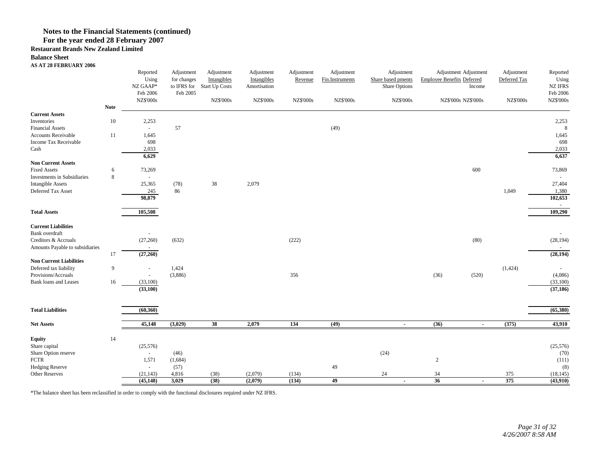## **Notes to the Financial Statements (continued)**

## **For the year ended 28 February 2007**

#### **Restaurant Brands New Zealand Limited**

#### **Balance Sheet**

#### **AS AT 28 FEBRUARY 2006**

|                                                     |             | Reported<br>Using<br>NZ GAAP*<br>Feb 2006<br><b>NZ\$'000s</b> | Adjustment<br>for changes<br>to IFRS for<br>Feb 2005 | Adjustment<br>Intangibles<br><b>Start Up Costs</b><br><b>NZ\$'000s</b> | Adjustment<br>Intangibles<br>Amortisation<br><b>NZ\$'000s</b> | Adjustment<br>Revenue<br><b>NZ\$'000s</b> | Adjustment<br>Fin.Instruments<br><b>NZ\$'000s</b> | Adjustment<br>Share based pments<br>Share Options<br><b>NZ\$'000s</b> | Adjustment Adjustment<br><b>Employee Benefits Deferred</b><br>Income<br>NZ\$'000s NZ\$'000s | Adjustment<br>Deferred Tax<br><b>NZ\$'000s</b> | Reported<br>Using<br><b>NZ IFRS</b><br>Feb 2006<br><b>NZ\$'000s</b> |
|-----------------------------------------------------|-------------|---------------------------------------------------------------|------------------------------------------------------|------------------------------------------------------------------------|---------------------------------------------------------------|-------------------------------------------|---------------------------------------------------|-----------------------------------------------------------------------|---------------------------------------------------------------------------------------------|------------------------------------------------|---------------------------------------------------------------------|
|                                                     | <b>Note</b> |                                                               |                                                      |                                                                        |                                                               |                                           |                                                   |                                                                       |                                                                                             |                                                |                                                                     |
| <b>Current Assets</b><br>Inventories                |             |                                                               |                                                      |                                                                        |                                                               |                                           |                                                   |                                                                       |                                                                                             |                                                |                                                                     |
| <b>Financial Assets</b>                             | $10\,$      | 2,253<br>$\sim$                                               | 57                                                   |                                                                        |                                                               |                                           | (49)                                              |                                                                       |                                                                                             |                                                | 2,253<br>8                                                          |
| <b>Accounts Receivable</b>                          | 11          | 1,645                                                         |                                                      |                                                                        |                                                               |                                           |                                                   |                                                                       |                                                                                             |                                                | 1,645                                                               |
| Income Tax Receivable                               |             | 698                                                           |                                                      |                                                                        |                                                               |                                           |                                                   |                                                                       |                                                                                             |                                                | 698                                                                 |
| Cash                                                |             | 2,033                                                         |                                                      |                                                                        |                                                               |                                           |                                                   |                                                                       |                                                                                             |                                                | 2,033                                                               |
|                                                     |             | 6,629                                                         |                                                      |                                                                        |                                                               |                                           |                                                   |                                                                       |                                                                                             |                                                | 6,637                                                               |
| <b>Non Current Assets</b>                           |             |                                                               |                                                      |                                                                        |                                                               |                                           |                                                   |                                                                       |                                                                                             |                                                |                                                                     |
| <b>Fixed Assets</b>                                 | 6           | 73,269                                                        |                                                      |                                                                        |                                                               |                                           |                                                   |                                                                       | 600                                                                                         |                                                | 73,869                                                              |
| Investments in Subsidiaries                         | 8           | $\overline{\phantom{a}}$                                      |                                                      |                                                                        |                                                               |                                           |                                                   |                                                                       |                                                                                             |                                                |                                                                     |
| <b>Intangible Assets</b>                            |             | 25,365                                                        | (78)                                                 | 38                                                                     | 2,079                                                         |                                           |                                                   |                                                                       |                                                                                             |                                                | 27,404                                                              |
| Deferred Tax Asset                                  |             | $245\,$<br>98,879                                             | 86                                                   |                                                                        |                                                               |                                           |                                                   |                                                                       |                                                                                             | 1,049                                          | 1,380                                                               |
|                                                     |             |                                                               |                                                      |                                                                        |                                                               |                                           |                                                   |                                                                       |                                                                                             |                                                | 102,653<br>$\sim$                                                   |
| <b>Total Assets</b>                                 |             | 105,508                                                       |                                                      |                                                                        |                                                               |                                           |                                                   |                                                                       |                                                                                             |                                                | 109,290                                                             |
|                                                     |             |                                                               |                                                      |                                                                        |                                                               |                                           |                                                   |                                                                       |                                                                                             |                                                |                                                                     |
| <b>Current Liabilities</b>                          |             |                                                               |                                                      |                                                                        |                                                               |                                           |                                                   |                                                                       |                                                                                             |                                                |                                                                     |
| Bank overdraft                                      |             |                                                               |                                                      |                                                                        |                                                               |                                           |                                                   |                                                                       |                                                                                             |                                                |                                                                     |
| Creditors & Accruals                                |             | (27, 260)                                                     | (632)                                                |                                                                        |                                                               | (222)                                     |                                                   |                                                                       | (80)                                                                                        |                                                | (28, 194)                                                           |
| Amounts Payable to subsidiaries                     |             |                                                               |                                                      |                                                                        |                                                               |                                           |                                                   |                                                                       |                                                                                             |                                                | $\sim$                                                              |
|                                                     | 17          | (27,260)                                                      |                                                      |                                                                        |                                                               |                                           |                                                   |                                                                       |                                                                                             |                                                | (28, 194)                                                           |
| <b>Non Current Liabilities</b>                      |             |                                                               |                                                      |                                                                        |                                                               |                                           |                                                   |                                                                       |                                                                                             |                                                |                                                                     |
| Deferred tax liability                              | 9           | $\overline{\phantom{a}}$                                      | 1,424                                                |                                                                        |                                                               |                                           |                                                   |                                                                       |                                                                                             | (1, 424)                                       |                                                                     |
| Provisions/Accruals<br><b>Bank loans and Leases</b> | 16          | (33,100)                                                      | (3,886)                                              |                                                                        |                                                               | 356                                       |                                                   |                                                                       | (36)<br>(520)                                                                               |                                                | (4,086)                                                             |
|                                                     |             | (33,100)                                                      |                                                      |                                                                        |                                                               |                                           |                                                   |                                                                       |                                                                                             |                                                | (33,100)<br>(37, 186)                                               |
|                                                     |             |                                                               |                                                      |                                                                        |                                                               |                                           |                                                   |                                                                       |                                                                                             |                                                |                                                                     |
|                                                     |             |                                                               |                                                      |                                                                        |                                                               |                                           |                                                   |                                                                       |                                                                                             |                                                |                                                                     |
| <b>Total Liabilities</b>                            |             | (60, 360)                                                     |                                                      |                                                                        |                                                               |                                           |                                                   |                                                                       |                                                                                             |                                                | (65,380)                                                            |
|                                                     |             |                                                               |                                                      |                                                                        |                                                               |                                           |                                                   |                                                                       |                                                                                             |                                                |                                                                     |
| <b>Net Assets</b>                                   |             | 45,148                                                        | (3,029)                                              | $\overline{38}$                                                        | 2,079                                                         | 134                                       | (49)                                              | $\blacksquare$                                                        | (36)<br>$\sim$                                                                              | (375)                                          | 43,910                                                              |
|                                                     |             |                                                               |                                                      |                                                                        |                                                               |                                           |                                                   |                                                                       |                                                                                             |                                                |                                                                     |
| <b>Equity</b><br>Share capital                      | 14          | (25,576)                                                      |                                                      |                                                                        |                                                               |                                           |                                                   |                                                                       |                                                                                             |                                                | (25, 576)                                                           |
| Share Option reserve                                |             | $\sim$                                                        | (46)                                                 |                                                                        |                                                               |                                           |                                                   | (24)                                                                  |                                                                                             |                                                | (70)                                                                |
| ${\mbox{FCTR}}$                                     |             | 1,571                                                         | (1,684)                                              |                                                                        |                                                               |                                           |                                                   |                                                                       | $\sqrt{2}$                                                                                  |                                                | (111)                                                               |
| <b>Hedging Reserve</b>                              |             | $\sim$                                                        | (57)                                                 |                                                                        |                                                               |                                           | $49\,$                                            |                                                                       |                                                                                             |                                                | (8)                                                                 |
| <b>Other Reserves</b>                               |             | (21, 143)                                                     | 4,816                                                | (38)                                                                   | (2,079)                                                       | (134)                                     |                                                   | $24\,$                                                                | 34                                                                                          | 375                                            | (18, 145)                                                           |
|                                                     |             | (45, 148)                                                     | 3,029                                                | (38)                                                                   | (2,079)                                                       | (134)                                     | $\overline{49}$                                   | $\blacksquare$                                                        | 36<br>$\overline{\phantom{a}}$                                                              | 375                                            | (43,910)                                                            |

\*The balance sheet has been reclassified in order to comply with the functional disclosures required under NZ IFRS.